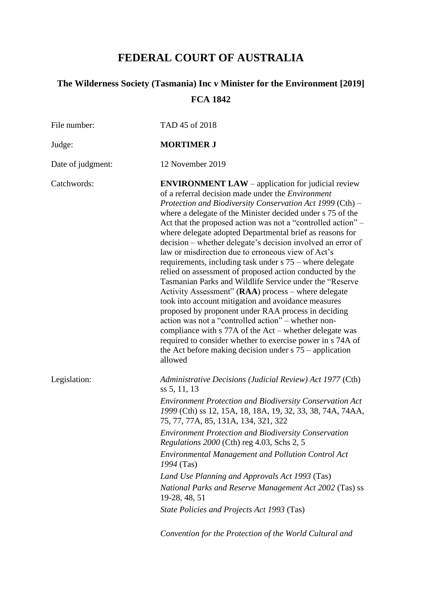# **FEDERAL COURT OF AUSTRALIA**

# **The Wilderness Society (Tasmania) Inc v Minister for the Environment [2019] FCA 1842**

| File number:      | TAD 45 of 2018                                                                                                                                                                                                                                                                                                                                                                                                                                                                                                                                                                                                                                                                                                                                                                                                                                                                                                                                                                                                                                                                                                      |
|-------------------|---------------------------------------------------------------------------------------------------------------------------------------------------------------------------------------------------------------------------------------------------------------------------------------------------------------------------------------------------------------------------------------------------------------------------------------------------------------------------------------------------------------------------------------------------------------------------------------------------------------------------------------------------------------------------------------------------------------------------------------------------------------------------------------------------------------------------------------------------------------------------------------------------------------------------------------------------------------------------------------------------------------------------------------------------------------------------------------------------------------------|
| Judge:            | <b>MORTIMER J</b>                                                                                                                                                                                                                                                                                                                                                                                                                                                                                                                                                                                                                                                                                                                                                                                                                                                                                                                                                                                                                                                                                                   |
| Date of judgment: | 12 November 2019                                                                                                                                                                                                                                                                                                                                                                                                                                                                                                                                                                                                                                                                                                                                                                                                                                                                                                                                                                                                                                                                                                    |
| Catchwords:       | <b>ENVIRONMENT LAW</b> – application for judicial review<br>of a referral decision made under the <i>Environment</i><br>Protection and Biodiversity Conservation Act 1999 (Cth) -<br>where a delegate of the Minister decided under s 75 of the<br>Act that the proposed action was not a "controlled action" –<br>where delegate adopted Departmental brief as reasons for<br>decision – whether delegate's decision involved an error of<br>law or misdirection due to erroneous view of Act's<br>requirements, including task under $s$ 75 – where delegate<br>relied on assessment of proposed action conducted by the<br>Tasmanian Parks and Wildlife Service under the "Reserve"<br>Activity Assessment" (RAA) process - where delegate<br>took into account mitigation and avoidance measures<br>proposed by proponent under RAA process in deciding<br>action was not a "controlled action" – whether non-<br>compliance with s 77A of the Act – whether delegate was<br>required to consider whether to exercise power in s 74A of<br>the Act before making decision under $s$ 75 – application<br>allowed |
| Legislation:      | Administrative Decisions (Judicial Review) Act 1977 (Cth)<br>ss 5, 11, 13<br><b>Environment Protection and Biodiversity Conservation Act</b><br>1999 (Cth) ss 12, 15A, 18, 18A, 19, 32, 33, 38, 74A, 74AA,<br>75, 77, 77A, 85, 131A, 134, 321, 322<br><b>Environment Protection and Biodiversity Conservation</b><br>Regulations 2000 (Cth) reg 4.03, Schs 2, 5<br><b>Environmental Management and Pollution Control Act</b><br>1994 (Tas)<br>Land Use Planning and Approvals Act 1993 (Tas)<br>National Parks and Reserve Management Act 2002 (Tas) ss<br>19-28, 48, 51<br>State Policies and Projects Act 1993 (Tas)                                                                                                                                                                                                                                                                                                                                                                                                                                                                                              |
|                   | Convention for the Protection of the World Cultural and                                                                                                                                                                                                                                                                                                                                                                                                                                                                                                                                                                                                                                                                                                                                                                                                                                                                                                                                                                                                                                                             |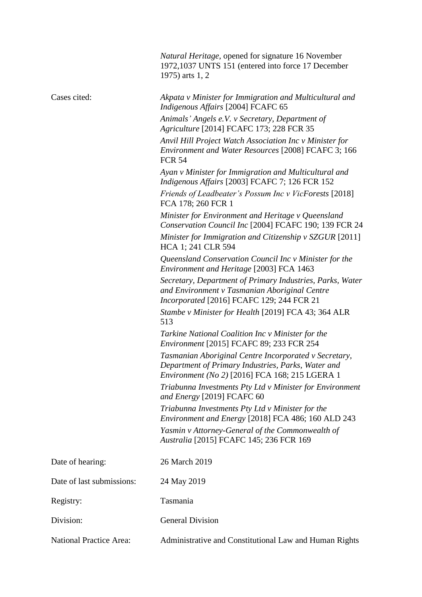|                                | <i>Natural Heritage, opened for signature 16 November</i><br>1972,1037 UNTS 151 (entered into force 17 December<br>1975) arts 1, 2                                   |
|--------------------------------|----------------------------------------------------------------------------------------------------------------------------------------------------------------------|
| Cases cited:                   | Akpata v Minister for Immigration and Multicultural and<br>Indigenous Affairs [2004] FCAFC 65                                                                        |
|                                | Animals' Angels e.V. v Secretary, Department of<br>Agriculture [2014] FCAFC 173; 228 FCR 35                                                                          |
|                                | Anvil Hill Project Watch Association Inc v Minister for<br>Environment and Water Resources [2008] FCAFC 3; 166<br><b>FCR 54</b>                                      |
|                                | Ayan v Minister for Immigration and Multicultural and<br>Indigenous Affairs [2003] FCAFC 7; 126 FCR 152                                                              |
|                                | Friends of Leadbeater's Possum Inc v VicForests [2018]<br>FCA 178; 260 FCR 1                                                                                         |
|                                | Minister for Environment and Heritage v Queensland<br>Conservation Council Inc [2004] FCAFC 190; 139 FCR 24                                                          |
|                                | Minister for Immigration and Citizenship v SZGUR [2011]<br>HCA 1; 241 CLR 594                                                                                        |
|                                | Queensland Conservation Council Inc v Minister for the<br>Environment and Heritage [2003] FCA 1463                                                                   |
|                                | Secretary, Department of Primary Industries, Parks, Water<br>and Environment v Tasmanian Aboriginal Centre<br><i>Incorporated</i> [2016] FCAFC 129; 244 FCR 21       |
|                                | Stambe v Minister for Health [2019] FCA 43; 364 ALR<br>513                                                                                                           |
|                                | Tarkine National Coalition Inc v Minister for the<br><i>Environment</i> [2015] FCAFC 89; 233 FCR 254                                                                 |
|                                | Tasmanian Aboriginal Centre Incorporated v Secretary,<br>Department of Primary Industries, Parks, Water and<br><i>Environment (No 2)</i> [2016] FCA 168; 215 LGERA 1 |
|                                | Triabunna Investments Pty Ltd v Minister for Environment<br>and Energy [2019] FCAFC 60                                                                               |
|                                | Triabunna Investments Pty Ltd v Minister for the<br>Environment and Energy [2018] FCA 486; 160 ALD 243                                                               |
|                                | Yasmin v Attorney-General of the Commonwealth of<br>Australia [2015] FCAFC 145; 236 FCR 169                                                                          |
| Date of hearing:               | 26 March 2019                                                                                                                                                        |
| Date of last submissions:      | 24 May 2019                                                                                                                                                          |
| Registry:                      | Tasmania                                                                                                                                                             |
| Division:                      | <b>General Division</b>                                                                                                                                              |
| <b>National Practice Area:</b> | Administrative and Constitutional Law and Human Rights                                                                                                               |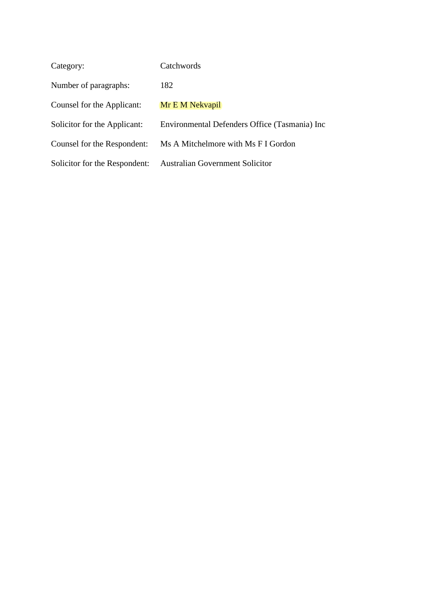| Category:                     | Catchwords                                    |
|-------------------------------|-----------------------------------------------|
| Number of paragraphs:         | 182                                           |
| Counsel for the Applicant:    | Mr E M Nekvapil                               |
| Solicitor for the Applicant:  | Environmental Defenders Office (Tasmania) Inc |
| Counsel for the Respondent:   | Ms A Mitchelmore with Ms F I Gordon           |
| Solicitor for the Respondent: | <b>Australian Government Solicitor</b>        |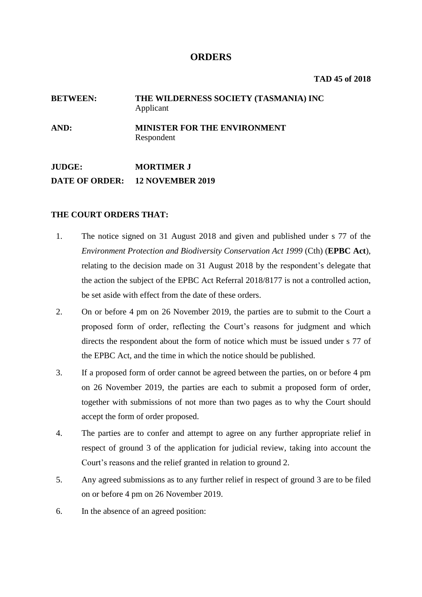# **ORDERS**

**BETWEEN: THE WILDERNESS SOCIETY (TASMANIA) INC** Applicant **AND: MINISTER FOR THE ENVIRONMENT** Respondent

**JUDGE: MORTIMER J DATE OF ORDER: 12 NOVEMBER 2019**

# **THE COURT ORDERS THAT:**

- 1. The notice signed on 31 August 2018 and given and published under s 77 of the *Environment Protection and Biodiversity Conservation Act 1999* (Cth) (**EPBC Act**), relating to the decision made on 31 August 2018 by the respondent's delegate that the action the subject of the EPBC Act Referral 2018/8177 is not a controlled action, be set aside with effect from the date of these orders.
- 2. On or before 4 pm on 26 November 2019, the parties are to submit to the Court a proposed form of order, reflecting the Court's reasons for judgment and which directs the respondent about the form of notice which must be issued under s 77 of the EPBC Act, and the time in which the notice should be published.
- 3. If a proposed form of order cannot be agreed between the parties, on or before 4 pm on 26 November 2019, the parties are each to submit a proposed form of order, together with submissions of not more than two pages as to why the Court should accept the form of order proposed.
- 4. The parties are to confer and attempt to agree on any further appropriate relief in respect of ground 3 of the application for judicial review, taking into account the Court's reasons and the relief granted in relation to ground 2.
- 5. Any agreed submissions as to any further relief in respect of ground 3 are to be filed on or before 4 pm on 26 November 2019.
- 6. In the absence of an agreed position: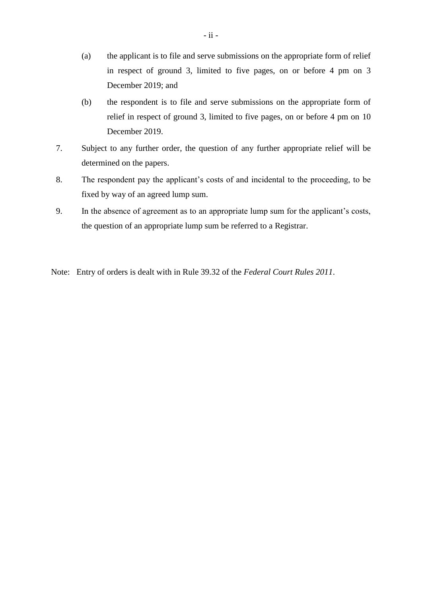- (a) the applicant is to file and serve submissions on the appropriate form of relief in respect of ground 3, limited to five pages, on or before 4 pm on 3 December 2019; and
- (b) the respondent is to file and serve submissions on the appropriate form of relief in respect of ground 3, limited to five pages, on or before 4 pm on 10 December 2019.
- 7. Subject to any further order, the question of any further appropriate relief will be determined on the papers.
- 8. The respondent pay the applicant's costs of and incidental to the proceeding, to be fixed by way of an agreed lump sum.
- 9. In the absence of agreement as to an appropriate lump sum for the applicant's costs, the question of an appropriate lump sum be referred to a Registrar.

Note: Entry of orders is dealt with in Rule 39.32 of the *Federal Court Rules 2011*.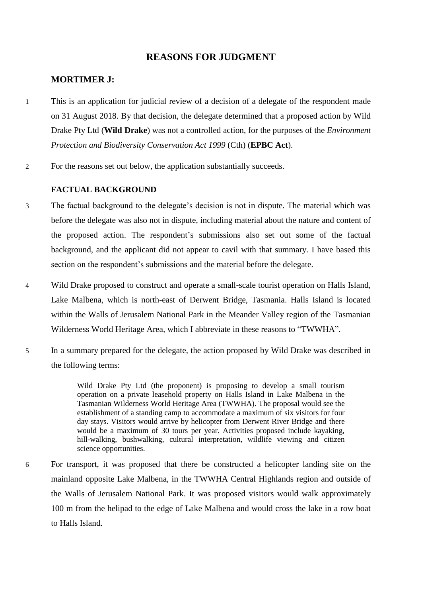# **REASONS FOR JUDGMENT**

# **MORTIMER J:**

- 1 This is an application for judicial review of a decision of a delegate of the respondent made on 31 August 2018. By that decision, the delegate determined that a proposed action by Wild Drake Pty Ltd (**Wild Drake**) was not a controlled action, for the purposes of the *Environment Protection and Biodiversity Conservation Act 1999* (Cth) (**EPBC Act**).
- 2 For the reasons set out below, the application substantially succeeds.

# **FACTUAL BACKGROUND**

- 3 The factual background to the delegate's decision is not in dispute. The material which was before the delegate was also not in dispute, including material about the nature and content of the proposed action. The respondent's submissions also set out some of the factual background, and the applicant did not appear to cavil with that summary. I have based this section on the respondent's submissions and the material before the delegate.
- 4 Wild Drake proposed to construct and operate a small-scale tourist operation on Halls Island, Lake Malbena, which is north-east of Derwent Bridge, Tasmania. Halls Island is located within the Walls of Jerusalem National Park in the Meander Valley region of the Tasmanian Wilderness World Heritage Area, which I abbreviate in these reasons to "TWWHA".
- <span id="page-5-0"></span>5 In a summary prepared for the delegate, the action proposed by Wild Drake was described in the following terms:

Wild Drake Pty Ltd (the proponent) is proposing to develop a small tourism operation on a private leasehold property on Halls Island in Lake Malbena in the Tasmanian Wilderness World Heritage Area (TWWHA). The proposal would see the establishment of a standing camp to accommodate a maximum of six visitors for four day stays. Visitors would arrive by helicopter from Derwent River Bridge and there would be a maximum of 30 tours per year. Activities proposed include kayaking, hill-walking, bushwalking, cultural interpretation, wildlife viewing and citizen science opportunities.

6 For transport, it was proposed that there be constructed a helicopter landing site on the mainland opposite Lake Malbena, in the TWWHA Central Highlands region and outside of the Walls of Jerusalem National Park. It was proposed visitors would walk approximately 100 m from the helipad to the edge of Lake Malbena and would cross the lake in a row boat to Halls Island.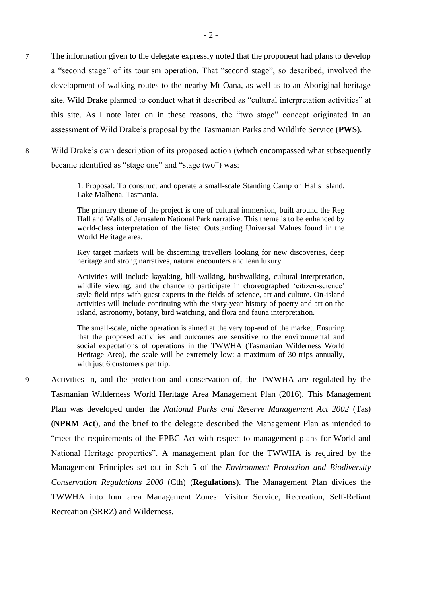- 7 The information given to the delegate expressly noted that the proponent had plans to develop a "second stage" of its tourism operation. That "second stage", so described, involved the development of walking routes to the nearby Mt Oana, as well as to an Aboriginal heritage site. Wild Drake planned to conduct what it described as "cultural interpretation activities" at this site. As I note later on in these reasons, the "two stage" concept originated in an assessment of Wild Drake's proposal by the Tasmanian Parks and Wildlife Service (**PWS**).
- 8 Wild Drake's own description of its proposed action (which encompassed what subsequently became identified as "stage one" and "stage two") was:

1. Proposal: To construct and operate a small-scale Standing Camp on Halls Island, Lake Malbena, Tasmania.

The primary theme of the project is one of cultural immersion, built around the Reg Hall and Walls of Jerusalem National Park narrative. This theme is to be enhanced by world-class interpretation of the listed Outstanding Universal Values found in the World Heritage area.

Key target markets will be discerning travellers looking for new discoveries, deep heritage and strong narratives, natural encounters and lean luxury.

Activities will include kayaking, hill-walking, bushwalking, cultural interpretation, wildlife viewing, and the chance to participate in choreographed 'citizen-science' style field trips with guest experts in the fields of science, art and culture. On-island activities will include continuing with the sixty-year history of poetry and art on the island, astronomy, botany, bird watching, and flora and fauna interpretation.

The small-scale, niche operation is aimed at the very top-end of the market. Ensuring that the proposed activities and outcomes are sensitive to the environmental and social expectations of operations in the TWWHA (Tasmanian Wilderness World Heritage Area), the scale will be extremely low: a maximum of 30 trips annually, with just 6 customers per trip.

9 Activities in, and the protection and conservation of, the TWWHA are regulated by the Tasmanian Wilderness World Heritage Area Management Plan (2016). This Management Plan was developed under the *National Parks and Reserve Management Act 2002* (Tas) (**NPRM Act**), and the brief to the delegate described the Management Plan as intended to "meet the requirements of the EPBC Act with respect to management plans for World and National Heritage properties". A management plan for the TWWHA is required by the Management Principles set out in Sch 5 of the *Environment Protection and Biodiversity Conservation Regulations 2000* (Cth) (**Regulations**). The Management Plan divides the TWWHA into four area Management Zones: Visitor Service, Recreation, Self-Reliant Recreation (SRRZ) and Wilderness.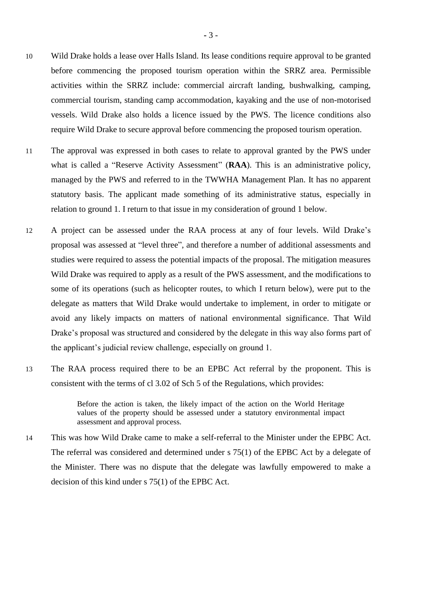- 10 Wild Drake holds a lease over Halls Island. Its lease conditions require approval to be granted before commencing the proposed tourism operation within the SRRZ area. Permissible activities within the SRRZ include: commercial aircraft landing, bushwalking, camping, commercial tourism, standing camp accommodation, kayaking and the use of non-motorised vessels. Wild Drake also holds a licence issued by the PWS. The licence conditions also require Wild Drake to secure approval before commencing the proposed tourism operation.
- 11 The approval was expressed in both cases to relate to approval granted by the PWS under what is called a "Reserve Activity Assessment" (**RAA**). This is an administrative policy, managed by the PWS and referred to in the TWWHA Management Plan. It has no apparent statutory basis. The applicant made something of its administrative status, especially in relation to ground 1. I return to that issue in my consideration of ground 1 below.
- 12 A project can be assessed under the RAA process at any of four levels. Wild Drake's proposal was assessed at "level three", and therefore a number of additional assessments and studies were required to assess the potential impacts of the proposal. The mitigation measures Wild Drake was required to apply as a result of the PWS assessment, and the modifications to some of its operations (such as helicopter routes, to which I return below), were put to the delegate as matters that Wild Drake would undertake to implement, in order to mitigate or avoid any likely impacts on matters of national environmental significance. That Wild Drake's proposal was structured and considered by the delegate in this way also forms part of the applicant's judicial review challenge, especially on ground 1.
- 13 The RAA process required there to be an EPBC Act referral by the proponent. This is consistent with the terms of cl 3.02 of Sch 5 of the Regulations, which provides:

Before the action is taken, the likely impact of the action on the World Heritage values of the property should be assessed under a statutory environmental impact assessment and approval process.

14 This was how Wild Drake came to make a self-referral to the Minister under the EPBC Act. The referral was considered and determined under s 75(1) of the EPBC Act by a delegate of the Minister. There was no dispute that the delegate was lawfully empowered to make a decision of this kind under s 75(1) of the EPBC Act.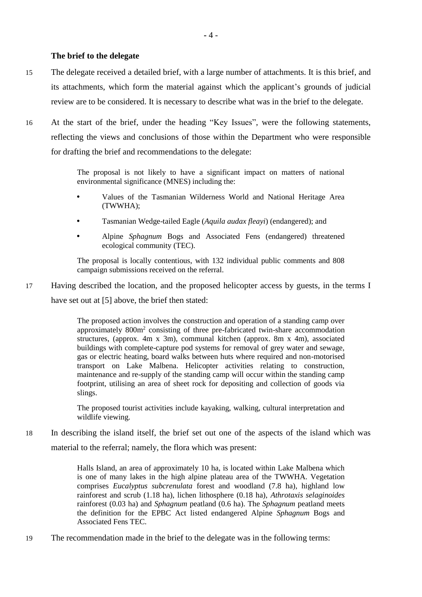# **The brief to the delegate**

- 15 The delegate received a detailed brief, with a large number of attachments. It is this brief, and its attachments, which form the material against which the applicant's grounds of judicial review are to be considered. It is necessary to describe what was in the brief to the delegate.
- 16 At the start of the brief, under the heading "Key Issues", were the following statements, reflecting the views and conclusions of those within the Department who were responsible for drafting the brief and recommendations to the delegate:

The proposal is not likely to have a significant impact on matters of national environmental significance (MNES) including the:

- Values of the Tasmanian Wilderness World and National Heritage Area (TWWHA);
- Tasmanian Wedge-tailed Eagle (*Aquila audax fleayi*) (endangered); and
- Alpine *Sphagnum* Bogs and Associated Fens (endangered) threatened ecological community (TEC).

The proposal is locally contentious, with 132 individual public comments and 808 campaign submissions received on the referral.

<span id="page-8-0"></span>17 Having described the location, and the proposed helicopter access by guests, in the terms I have set out at [\[5\]](#page-5-0) above, the brief then stated:

> The proposed action involves the construction and operation of a standing camp over approximately 800m<sup>2</sup> consisting of three pre-fabricated twin-share accommodation structures, (approx. 4m x 3m), communal kitchen (approx. 8m x 4m), associated buildings with complete-capture pod systems for removal of grey water and sewage, gas or electric heating, board walks between huts where required and non-motorised transport on Lake Malbena. Helicopter activities relating to construction, maintenance and re-supply of the standing camp will occur within the standing camp footprint, utilising an area of sheet rock for depositing and collection of goods via slings.

> The proposed tourist activities include kayaking, walking, cultural interpretation and wildlife viewing.

18 In describing the island itself, the brief set out one of the aspects of the island which was material to the referral; namely, the flora which was present:

> Halls Island, an area of approximately 10 ha, is located within Lake Malbena which is one of many lakes in the high alpine plateau area of the TWWHA. Vegetation comprises *Eucalyptus subcrenulata* forest and woodland (7.8 ha), highland low rainforest and scrub (1.18 ha), lichen lithosphere (0.18 ha), *Athrotaxis selaginoides* rainforest (0.03 ha) and *Sphagnum* peatland (0.6 ha). The *Sphagnum* peatland meets the definition for the EPBC Act listed endangered Alpine *Sphagnum* Bogs and Associated Fens TEC.

19 The recommendation made in the brief to the delegate was in the following terms: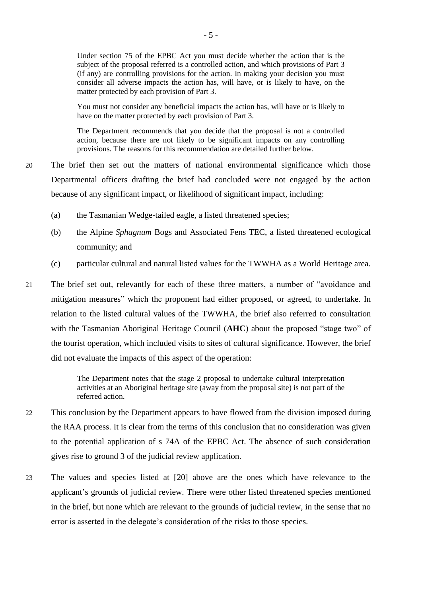Under section 75 of the EPBC Act you must decide whether the action that is the subject of the proposal referred is a controlled action, and which provisions of Part 3 (if any) are controlling provisions for the action. In making your decision you must consider all adverse impacts the action has, will have, or is likely to have, on the matter protected by each provision of Part 3.

You must not consider any beneficial impacts the action has, will have or is likely to have on the matter protected by each provision of Part 3.

The Department recommends that you decide that the proposal is not a controlled action, because there are not likely to be significant impacts on any controlling provisions. The reasons for this recommendation are detailed further below.

- <span id="page-9-0"></span>20 The brief then set out the matters of national environmental significance which those Departmental officers drafting the brief had concluded were not engaged by the action because of any significant impact, or likelihood of significant impact, including:
	- (a) the Tasmanian Wedge-tailed eagle, a listed threatened species;
	- (b) the Alpine *Sphagnum* Bogs and Associated Fens TEC, a listed threatened ecological community; and
	- (c) particular cultural and natural listed values for the TWWHA as a World Heritage area.
- 21 The brief set out, relevantly for each of these three matters, a number of "avoidance and mitigation measures" which the proponent had either proposed, or agreed, to undertake. In relation to the listed cultural values of the TWWHA, the brief also referred to consultation with the Tasmanian Aboriginal Heritage Council (**AHC**) about the proposed "stage two" of the tourist operation, which included visits to sites of cultural significance. However, the brief did not evaluate the impacts of this aspect of the operation:

The Department notes that the stage 2 proposal to undertake cultural interpretation activities at an Aboriginal heritage site (away from the proposal site) is not part of the referred action.

- 22 This conclusion by the Department appears to have flowed from the division imposed during the RAA process. It is clear from the terms of this conclusion that no consideration was given to the potential application of s 74A of the EPBC Act. The absence of such consideration gives rise to ground 3 of the judicial review application.
- 23 The values and species listed at [\[20\]](#page-9-0) above are the ones which have relevance to the applicant's grounds of judicial review. There were other listed threatened species mentioned in the brief, but none which are relevant to the grounds of judicial review, in the sense that no error is asserted in the delegate's consideration of the risks to those species.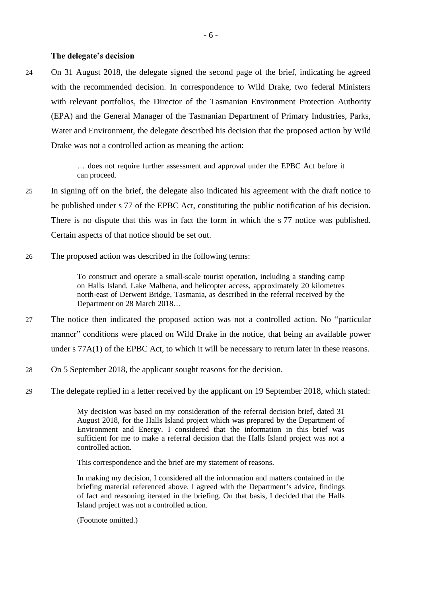#### **The delegate's decision**

24 On 31 August 2018, the delegate signed the second page of the brief, indicating he agreed with the recommended decision. In correspondence to Wild Drake, two federal Ministers with relevant portfolios, the Director of the Tasmanian Environment Protection Authority (EPA) and the General Manager of the Tasmanian Department of Primary Industries, Parks, Water and Environment, the delegate described his decision that the proposed action by Wild Drake was not a controlled action as meaning the action:

> … does not require further assessment and approval under the EPBC Act before it can proceed.

- 25 In signing off on the brief, the delegate also indicated his agreement with the draft notice to be published under s 77 of the EPBC Act, constituting the public notification of his decision. There is no dispute that this was in fact the form in which the s 77 notice was published. Certain aspects of that notice should be set out.
- <span id="page-10-0"></span>26 The proposed action was described in the following terms:

To construct and operate a small-scale tourist operation, including a standing camp on Halls Island, Lake Malbena, and helicopter access, approximately 20 kilometres north-east of Derwent Bridge, Tasmania, as described in the referral received by the Department on 28 March 2018…

- 27 The notice then indicated the proposed action was not a controlled action. No "particular manner" conditions were placed on Wild Drake in the notice, that being an available power under s 77A(1) of the EPBC Act, to which it will be necessary to return later in these reasons.
- 28 On 5 September 2018, the applicant sought reasons for the decision.
- 29 The delegate replied in a letter received by the applicant on 19 September 2018, which stated:

My decision was based on my consideration of the referral decision brief, dated 31 August 2018, for the Halls Island project which was prepared by the Department of Environment and Energy. I considered that the information in this brief was sufficient for me to make a referral decision that the Halls Island project was not a controlled action.

This correspondence and the brief are my statement of reasons.

In making my decision, I considered all the information and matters contained in the briefing material referenced above. I agreed with the Department's advice, findings of fact and reasoning iterated in the briefing. On that basis, I decided that the Halls Island project was not a controlled action.

(Footnote omitted.)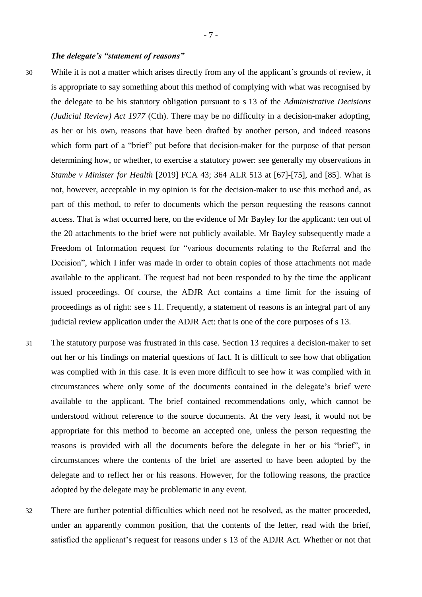### *The delegate's "statement of reasons"*

30 While it is not a matter which arises directly from any of the applicant's grounds of review, it is appropriate to say something about this method of complying with what was recognised by the delegate to be his statutory obligation pursuant to s 13 of the *Administrative Decisions (Judicial Review) Act 1977* (Cth). There may be no difficulty in a decision-maker adopting, as her or his own, reasons that have been drafted by another person, and indeed reasons which form part of a "brief" put before that decision-maker for the purpose of that person determining how, or whether, to exercise a statutory power: see generally my observations in *Stambe v Minister for Health* [2019] FCA 43; 364 ALR 513 at [67]-[75], and [85]. What is not, however, acceptable in my opinion is for the decision-maker to use this method and, as part of this method, to refer to documents which the person requesting the reasons cannot access. That is what occurred here, on the evidence of Mr Bayley for the applicant: ten out of the 20 attachments to the brief were not publicly available. Mr Bayley subsequently made a Freedom of Information request for "various documents relating to the Referral and the Decision", which I infer was made in order to obtain copies of those attachments not made available to the applicant. The request had not been responded to by the time the applicant issued proceedings. Of course, the ADJR Act contains a time limit for the issuing of proceedings as of right: see s 11. Frequently, a statement of reasons is an integral part of any judicial review application under the ADJR Act: that is one of the core purposes of s 13.

- 31 The statutory purpose was frustrated in this case. Section 13 requires a decision-maker to set out her or his findings on material questions of fact. It is difficult to see how that obligation was complied with in this case. It is even more difficult to see how it was complied with in circumstances where only some of the documents contained in the delegate's brief were available to the applicant. The brief contained recommendations only, which cannot be understood without reference to the source documents. At the very least, it would not be appropriate for this method to become an accepted one, unless the person requesting the reasons is provided with all the documents before the delegate in her or his "brief", in circumstances where the contents of the brief are asserted to have been adopted by the delegate and to reflect her or his reasons. However, for the following reasons, the practice adopted by the delegate may be problematic in any event.
- 32 There are further potential difficulties which need not be resolved, as the matter proceeded, under an apparently common position, that the contents of the letter, read with the brief, satisfied the applicant's request for reasons under s 13 of the ADJR Act. Whether or not that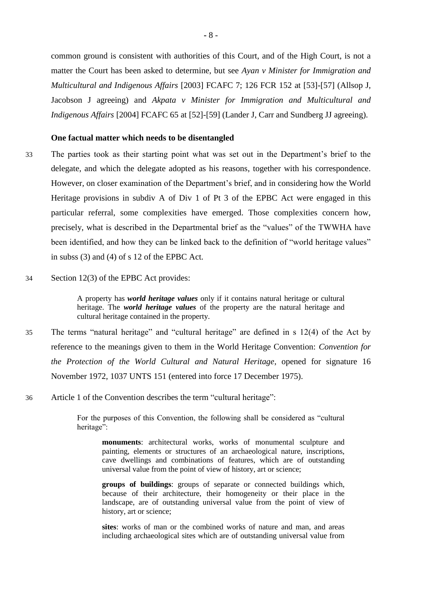common ground is consistent with authorities of this Court, and of the High Court, is not a matter the Court has been asked to determine, but see *Ayan v Minister for Immigration and Multicultural and Indigenous Affairs* [2003] FCAFC 7; 126 FCR 152 at [53]-[57] (Allsop J, Jacobson J agreeing) and *Akpata v Minister for Immigration and Multicultural and Indigenous Affairs* [2004] FCAFC 65 at [52]-[59] (Lander J, Carr and Sundberg JJ agreeing).

## **One factual matter which needs to be disentangled**

- 33 The parties took as their starting point what was set out in the Department's brief to the delegate, and which the delegate adopted as his reasons, together with his correspondence. However, on closer examination of the Department's brief, and in considering how the World Heritage provisions in subdiv A of Div 1 of Pt 3 of the EPBC Act were engaged in this particular referral, some complexities have emerged. Those complexities concern how, precisely, what is described in the Departmental brief as the "values" of the TWWHA have been identified, and how they can be linked back to the definition of "world heritage values" in subss (3) and (4) of s 12 of the EPBC Act.
- 34 Section 12(3) of the EPBC Act provides:

A property has *world heritage values* only if it contains natural heritage or cultural heritage. The *world heritage values* of the property are the natural heritage and cultural heritage contained in the property.

- 35 The terms "natural heritage" and "cultural heritage" are defined in s 12(4) of the Act by reference to the meanings given to them in the World Heritage Convention: *Convention for the Protection of the World Cultural and Natural Heritage*, opened for signature 16 November 1972, 1037 UNTS 151 (entered into force 17 December 1975).
- 36 Article 1 of the Convention describes the term "cultural heritage":

For the purposes of this Convention, the following shall be considered as "cultural heritage":

**monuments**: architectural works, works of monumental sculpture and painting, elements or structures of an archaeological nature, inscriptions, cave dwellings and combinations of features, which are of outstanding universal value from the point of view of history, art or science;

**groups of buildings**: groups of separate or connected buildings which, because of their architecture, their homogeneity or their place in the landscape, are of outstanding universal value from the point of view of history, art or science;

**sites**: works of man or the combined works of nature and man, and areas including archaeological sites which are of outstanding universal value from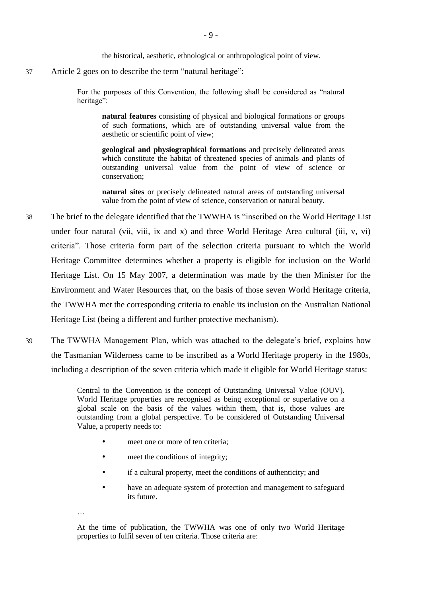the historical, aesthetic, ethnological or anthropological point of view.

37 Article 2 goes on to describe the term "natural heritage":

For the purposes of this Convention, the following shall be considered as "natural heritage":

**natural features** consisting of physical and biological formations or groups of such formations, which are of outstanding universal value from the aesthetic or scientific point of view;

**geological and physiographical formations** and precisely delineated areas which constitute the habitat of threatened species of animals and plants of outstanding universal value from the point of view of science or conservation;

**natural sites** or precisely delineated natural areas of outstanding universal value from the point of view of science, conservation or natural beauty.

- 38 The brief to the delegate identified that the TWWHA is "inscribed on the World Heritage List under four natural (vii, viii, ix and x) and three World Heritage Area cultural (iii, v, vi) criteria". Those criteria form part of the selection criteria pursuant to which the World Heritage Committee determines whether a property is eligible for inclusion on the World Heritage List. On 15 May 2007, a determination was made by the then Minister for the Environment and Water Resources that, on the basis of those seven World Heritage criteria, the TWWHA met the corresponding criteria to enable its inclusion on the Australian National Heritage List (being a different and further protective mechanism).
- <span id="page-13-0"></span>39 The TWWHA Management Plan, which was attached to the delegate's brief, explains how the Tasmanian Wilderness came to be inscribed as a World Heritage property in the 1980s, including a description of the seven criteria which made it eligible for World Heritage status:

Central to the Convention is the concept of Outstanding Universal Value (OUV). World Heritage properties are recognised as being exceptional or superlative on a global scale on the basis of the values within them, that is, those values are outstanding from a global perspective. To be considered of Outstanding Universal Value, a property needs to:

- meet one or more of ten criteria;
- meet the conditions of integrity;
- if a cultural property, meet the conditions of authenticity; and
- have an adequate system of protection and management to safeguard its future.
- …

At the time of publication, the TWWHA was one of only two World Heritage properties to fulfil seven of ten criteria. Those criteria are: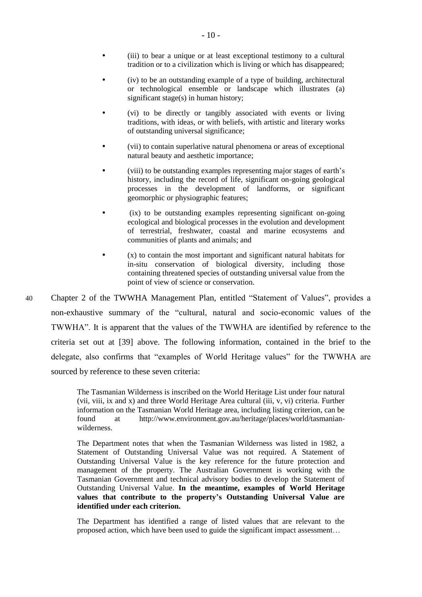- (iii) to bear a unique or at least exceptional testimony to a cultural tradition or to a civilization which is living or which has disappeared;
- (iv) to be an outstanding example of a type of building, architectural or technological ensemble or landscape which illustrates (a) significant stage(s) in human history;
- (vi) to be directly or tangibly associated with events or living traditions, with ideas, or with beliefs, with artistic and literary works of outstanding universal significance;
- (vii) to contain superlative natural phenomena or areas of exceptional natural beauty and aesthetic importance;
- (viii) to be outstanding examples representing major stages of earth's history, including the record of life, significant on-going geological processes in the development of landforms, or significant geomorphic or physiographic features;
- (ix) to be outstanding examples representing significant on-going ecological and biological processes in the evolution and development of terrestrial, freshwater, coastal and marine ecosystems and communities of plants and animals; and
- (x) to contain the most important and significant natural habitats for in-situ conservation of biological diversity, including those containing threatened species of outstanding universal value from the point of view of science or conservation.
- 40 Chapter 2 of the TWWHA Management Plan, entitled "Statement of Values", provides a non-exhaustive summary of the "cultural, natural and socio-economic values of the TWWHA". It is apparent that the values of the TWWHA are identified by reference to the criteria set out at [\[39\]](#page-13-0) above. The following information, contained in the brief to the delegate, also confirms that "examples of World Heritage values" for the TWWHA are sourced by reference to these seven criteria:

The Tasmanian Wilderness is inscribed on the World Heritage List under four natural (vii, viii, ix and x) and three World Heritage Area cultural (iii, v, vi) criteria. Further information on the Tasmanian World Heritage area, including listing criterion, can be found at http://www.environment.gov.au/heritage/places/world/tasmanianwilderness.

The Department notes that when the Tasmanian Wilderness was listed in 1982, a Statement of Outstanding Universal Value was not required. A Statement of Outstanding Universal Value is the key reference for the future protection and management of the property. The Australian Government is working with the Tasmanian Government and technical advisory bodies to develop the Statement of Outstanding Universal Value. **In the meantime, examples of World Heritage values that contribute to the property's Outstanding Universal Value are identified under each criterion.**

The Department has identified a range of listed values that are relevant to the proposed action, which have been used to guide the significant impact assessment…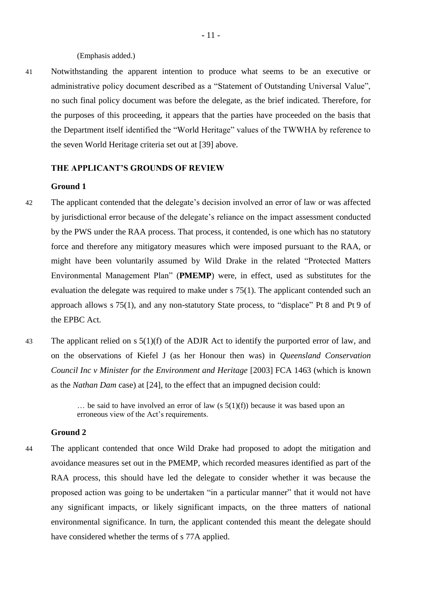#### (Emphasis added.)

41 Notwithstanding the apparent intention to produce what seems to be an executive or administrative policy document described as a "Statement of Outstanding Universal Value", no such final policy document was before the delegate, as the brief indicated. Therefore, for the purposes of this proceeding, it appears that the parties have proceeded on the basis that the Department itself identified the "World Heritage" values of the TWWHA by reference to the seven World Heritage criteria set out at [\[39\]](#page-13-0) above.

## **THE APPLICANT'S GROUNDS OF REVIEW**

#### **Ground 1**

- 42 The applicant contended that the delegate's decision involved an error of law or was affected by jurisdictional error because of the delegate's reliance on the impact assessment conducted by the PWS under the RAA process. That process, it contended, is one which has no statutory force and therefore any mitigatory measures which were imposed pursuant to the RAA, or might have been voluntarily assumed by Wild Drake in the related "Protected Matters Environmental Management Plan" (**PMEMP**) were, in effect, used as substitutes for the evaluation the delegate was required to make under s 75(1). The applicant contended such an approach allows s 75(1), and any non-statutory State process, to "displace" Pt 8 and Pt 9 of the EPBC Act.
- 43 The applicant relied on s 5(1)(f) of the ADJR Act to identify the purported error of law, and on the observations of Kiefel J (as her Honour then was) in *Queensland Conservation Council Inc v Minister for the Environment and Heritage* [2003] FCA 1463 (which is known as the *Nathan Dam* case) at [24], to the effect that an impugned decision could:

 $\ldots$  be said to have involved an error of law (s  $5(1)(f)$ ) because it was based upon an erroneous view of the Act's requirements.

#### **Ground 2**

44 The applicant contended that once Wild Drake had proposed to adopt the mitigation and avoidance measures set out in the PMEMP, which recorded measures identified as part of the RAA process, this should have led the delegate to consider whether it was because the proposed action was going to be undertaken "in a particular manner" that it would not have any significant impacts, or likely significant impacts, on the three matters of national environmental significance. In turn, the applicant contended this meant the delegate should have considered whether the terms of s 77A applied.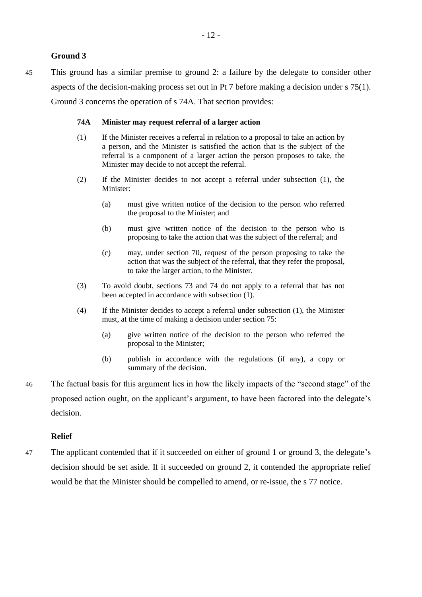# **Ground 3**

45 This ground has a similar premise to ground 2: a failure by the delegate to consider other aspects of the decision-making process set out in Pt 7 before making a decision under s 75(1). Ground 3 concerns the operation of s 74A. That section provides:

## **74A Minister may request referral of a larger action**

- (1) If the Minister receives a referral in relation to a proposal to take an action by a person, and the Minister is satisfied the action that is the subject of the referral is a component of a larger action the person proposes to take, the Minister may decide to not accept the referral.
- (2) If the Minister decides to not accept a referral under subsection (1), the Minister:
	- (a) must give written notice of the decision to the person who referred the proposal to the Minister; and
	- (b) must give written notice of the decision to the person who is proposing to take the action that was the subject of the referral; and
	- (c) may, under section 70, request of the person proposing to take the action that was the subject of the referral, that they refer the proposal, to take the larger action, to the Minister.
- (3) To avoid doubt, sections 73 and 74 do not apply to a referral that has not been accepted in accordance with subsection (1).
- (4) If the Minister decides to accept a referral under subsection (1), the Minister must, at the time of making a decision under section 75:
	- (a) give written notice of the decision to the person who referred the proposal to the Minister;
	- (b) publish in accordance with the regulations (if any), a copy or summary of the decision.
- 46 The factual basis for this argument lies in how the likely impacts of the "second stage" of the proposed action ought, on the applicant's argument, to have been factored into the delegate's decision.

## **Relief**

47 The applicant contended that if it succeeded on either of ground 1 or ground 3, the delegate's decision should be set aside. If it succeeded on ground 2, it contended the appropriate relief would be that the Minister should be compelled to amend, or re-issue, the s 77 notice.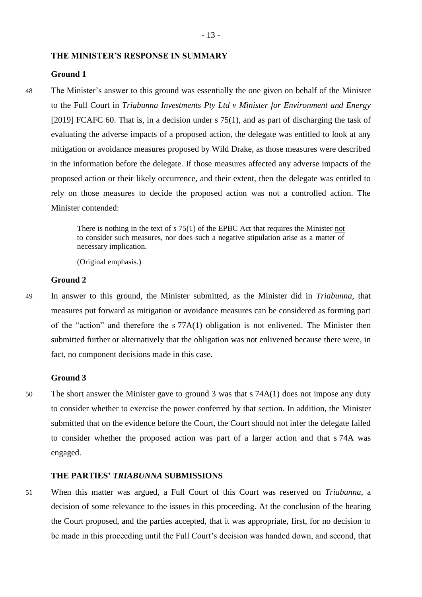### **THE MINISTER'S RESPONSE IN SUMMARY**

## **Ground 1**

48 The Minister's answer to this ground was essentially the one given on behalf of the Minister to the Full Court in *Triabunna Investments Pty Ltd v Minister for Environment and Energy*  [2019] FCAFC 60. That is, in a decision under s 75(1), and as part of discharging the task of evaluating the adverse impacts of a proposed action, the delegate was entitled to look at any mitigation or avoidance measures proposed by Wild Drake, as those measures were described in the information before the delegate. If those measures affected any adverse impacts of the proposed action or their likely occurrence, and their extent, then the delegate was entitled to rely on those measures to decide the proposed action was not a controlled action. The Minister contended:

> There is nothing in the text of  $s$  75(1) of the EPBC Act that requires the Minister not to consider such measures, nor does such a negative stipulation arise as a matter of necessary implication.

(Original emphasis.)

## **Ground 2**

- 
- 49 In answer to this ground, the Minister submitted, as the Minister did in *Triabunna*, that measures put forward as mitigation or avoidance measures can be considered as forming part of the "action" and therefore the s 77A(1) obligation is not enlivened. The Minister then submitted further or alternatively that the obligation was not enlivened because there were, in fact, no component decisions made in this case.

# **Ground 3**

50 The short answer the Minister gave to ground 3 was that s 74A(1) does not impose any duty to consider whether to exercise the power conferred by that section. In addition, the Minister submitted that on the evidence before the Court, the Court should not infer the delegate failed to consider whether the proposed action was part of a larger action and that s 74A was engaged.

#### **THE PARTIES'** *TRIABUNNA* **SUBMISSIONS**

51 When this matter was argued, a Full Court of this Court was reserved on *Triabunna*, a decision of some relevance to the issues in this proceeding. At the conclusion of the hearing the Court proposed, and the parties accepted, that it was appropriate, first, for no decision to be made in this proceeding until the Full Court's decision was handed down, and second, that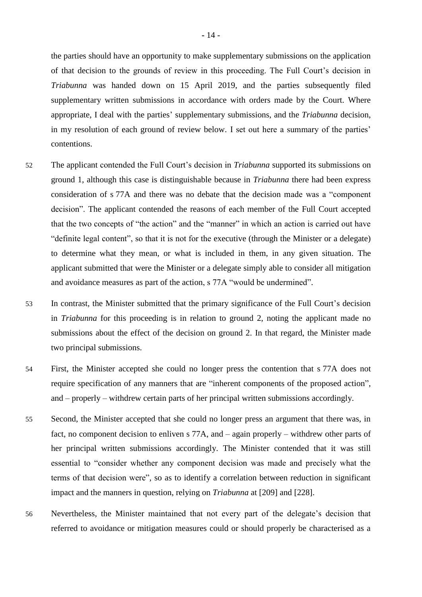the parties should have an opportunity to make supplementary submissions on the application of that decision to the grounds of review in this proceeding. The Full Court's decision in *Triabunna* was handed down on 15 April 2019, and the parties subsequently filed supplementary written submissions in accordance with orders made by the Court. Where appropriate, I deal with the parties' supplementary submissions, and the *Triabunna* decision, in my resolution of each ground of review below. I set out here a summary of the parties' contentions.

- 52 The applicant contended the Full Court's decision in *Triabunna* supported its submissions on ground 1, although this case is distinguishable because in *Triabunna* there had been express consideration of s 77A and there was no debate that the decision made was a "component decision". The applicant contended the reasons of each member of the Full Court accepted that the two concepts of "the action" and the "manner" in which an action is carried out have "definite legal content", so that it is not for the executive (through the Minister or a delegate) to determine what they mean, or what is included in them, in any given situation. The applicant submitted that were the Minister or a delegate simply able to consider all mitigation and avoidance measures as part of the action, s 77A "would be undermined".
- 53 In contrast, the Minister submitted that the primary significance of the Full Court's decision in *Triabunna* for this proceeding is in relation to ground 2, noting the applicant made no submissions about the effect of the decision on ground 2. In that regard, the Minister made two principal submissions.
- 54 First, the Minister accepted she could no longer press the contention that s 77A does not require specification of any manners that are "inherent components of the proposed action", and – properly – withdrew certain parts of her principal written submissions accordingly.
- 55 Second, the Minister accepted that she could no longer press an argument that there was, in fact, no component decision to enliven s 77A, and – again properly – withdrew other parts of her principal written submissions accordingly. The Minister contended that it was still essential to "consider whether any component decision was made and precisely what the terms of that decision were", so as to identify a correlation between reduction in significant impact and the manners in question, relying on *Triabunna* at [209] and [228].
- 56 Nevertheless, the Minister maintained that not every part of the delegate's decision that referred to avoidance or mitigation measures could or should properly be characterised as a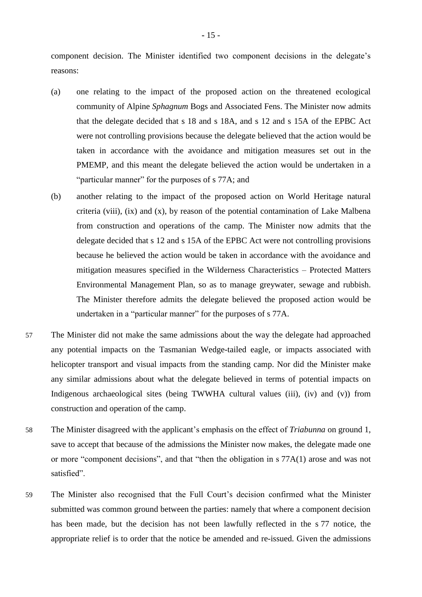component decision. The Minister identified two component decisions in the delegate's reasons:

- (a) one relating to the impact of the proposed action on the threatened ecological community of Alpine *Sphagnum* Bogs and Associated Fens. The Minister now admits that the delegate decided that s 18 and s 18A, and s 12 and s 15A of the EPBC Act were not controlling provisions because the delegate believed that the action would be taken in accordance with the avoidance and mitigation measures set out in the PMEMP, and this meant the delegate believed the action would be undertaken in a "particular manner" for the purposes of s 77A; and
- (b) another relating to the impact of the proposed action on World Heritage natural criteria (viii), (ix) and (x), by reason of the potential contamination of Lake Malbena from construction and operations of the camp. The Minister now admits that the delegate decided that s 12 and s 15A of the EPBC Act were not controlling provisions because he believed the action would be taken in accordance with the avoidance and mitigation measures specified in the Wilderness Characteristics – Protected Matters Environmental Management Plan, so as to manage greywater, sewage and rubbish. The Minister therefore admits the delegate believed the proposed action would be undertaken in a "particular manner" for the purposes of s 77A.
- 57 The Minister did not make the same admissions about the way the delegate had approached any potential impacts on the Tasmanian Wedge-tailed eagle, or impacts associated with helicopter transport and visual impacts from the standing camp. Nor did the Minister make any similar admissions about what the delegate believed in terms of potential impacts on Indigenous archaeological sites (being TWWHA cultural values (iii), (iv) and (v)) from construction and operation of the camp.
- 58 The Minister disagreed with the applicant's emphasis on the effect of *Triabunna* on ground 1, save to accept that because of the admissions the Minister now makes, the delegate made one or more "component decisions", and that "then the obligation in s 77A(1) arose and was not satisfied".
- 59 The Minister also recognised that the Full Court's decision confirmed what the Minister submitted was common ground between the parties: namely that where a component decision has been made, but the decision has not been lawfully reflected in the s 77 notice, the appropriate relief is to order that the notice be amended and re-issued. Given the admissions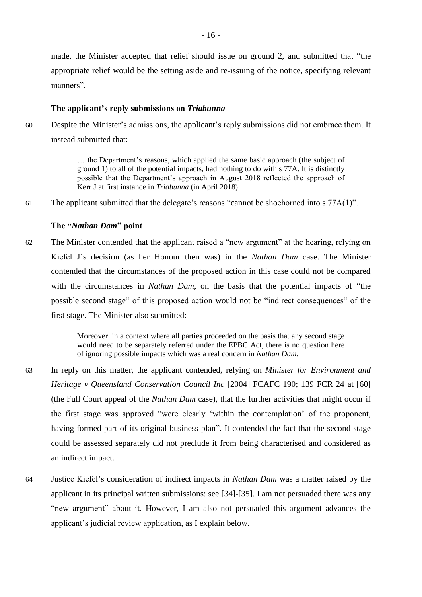made, the Minister accepted that relief should issue on ground 2, and submitted that "the appropriate relief would be the setting aside and re-issuing of the notice, specifying relevant manners".

#### **The applicant's reply submissions on** *Triabunna*

60 Despite the Minister's admissions, the applicant's reply submissions did not embrace them. It instead submitted that:

> … the Department's reasons, which applied the same basic approach (the subject of ground 1) to all of the potential impacts, had nothing to do with s 77A. It is distinctly possible that the Department's approach in August 2018 reflected the approach of Kerr J at first instance in *Triabunna* (in April 2018).

61 The applicant submitted that the delegate's reasons "cannot be shoehorned into s 77A(1)".

#### **The "***Nathan Dam***" point**

62 The Minister contended that the applicant raised a "new argument" at the hearing, relying on Kiefel J's decision (as her Honour then was) in the *Nathan Dam* case. The Minister contended that the circumstances of the proposed action in this case could not be compared with the circumstances in *Nathan Dam*, on the basis that the potential impacts of "the possible second stage" of this proposed action would not be "indirect consequences" of the first stage. The Minister also submitted:

> Moreover, in a context where all parties proceeded on the basis that any second stage would need to be separately referred under the EPBC Act, there is no question here of ignoring possible impacts which was a real concern in *Nathan Dam*.

- 63 In reply on this matter, the applicant contended, relying on *Minister for Environment and Heritage v Queensland Conservation Council Inc* [2004] FCAFC 190; 139 FCR 24 at [60] (the Full Court appeal of the *Nathan Dam* case), that the further activities that might occur if the first stage was approved "were clearly 'within the contemplation' of the proponent, having formed part of its original business plan". It contended the fact that the second stage could be assessed separately did not preclude it from being characterised and considered as an indirect impact.
- 64 Justice Kiefel's consideration of indirect impacts in *Nathan Dam* was a matter raised by the applicant in its principal written submissions: see [34]-[35]. I am not persuaded there was any "new argument" about it. However, I am also not persuaded this argument advances the applicant's judicial review application, as I explain below.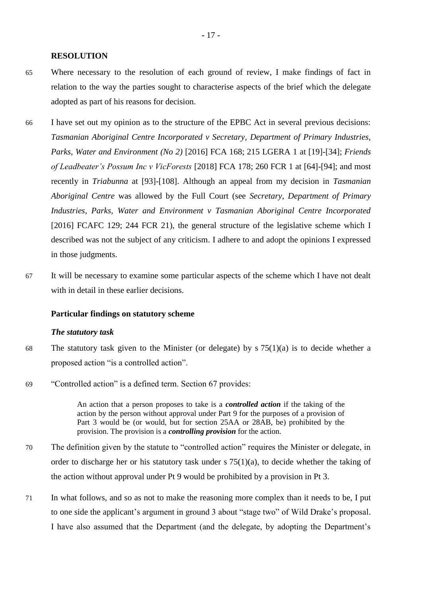#### **RESOLUTION**

- 65 Where necessary to the resolution of each ground of review, I make findings of fact in relation to the way the parties sought to characterise aspects of the brief which the delegate adopted as part of his reasons for decision.
- 66 I have set out my opinion as to the structure of the EPBC Act in several previous decisions: *Tasmanian Aboriginal Centre Incorporated v Secretary, Department of Primary Industries, Parks, Water and Environment (No 2)* [2016] FCA 168; 215 LGERA 1 at [19]-[34]; *Friends of Leadbeater's Possum Inc v VicForests* [2018] FCA 178; 260 FCR 1 at [64]-[94]; and most recently in *Triabunna* at [93]-[108]. Although an appeal from my decision in *Tasmanian Aboriginal Centre* was allowed by the Full Court (see *Secretary, Department of Primary Industries, Parks, Water and Environment v Tasmanian Aboriginal Centre Incorporated* [2016] FCAFC 129; 244 FCR 21), the general structure of the legislative scheme which I described was not the subject of any criticism. I adhere to and adopt the opinions I expressed in those judgments.
- 67 It will be necessary to examine some particular aspects of the scheme which I have not dealt with in detail in these earlier decisions.

#### **Particular findings on statutory scheme**

#### *The statutory task*

- <span id="page-21-0"></span>68 The statutory task given to the Minister (or delegate) by  $s$  75(1)(a) is to decide whether a proposed action "is a controlled action".
- 69 "Controlled action" is a defined term. Section 67 provides:

An action that a person proposes to take is a *controlled action* if the taking of the action by the person without approval under Part 9 for the purposes of a provision of Part 3 would be (or would, but for section 25AA or 28AB, be) prohibited by the provision. The provision is a *controlling provision* for the action.

- 70 The definition given by the statute to "controlled action" requires the Minister or delegate, in order to discharge her or his statutory task under s  $75(1)(a)$ , to decide whether the taking of the action without approval under Pt 9 would be prohibited by a provision in Pt 3.
- <span id="page-21-1"></span>71 In what follows, and so as not to make the reasoning more complex than it needs to be, I put to one side the applicant's argument in ground 3 about "stage two" of Wild Drake's proposal. I have also assumed that the Department (and the delegate, by adopting the Department's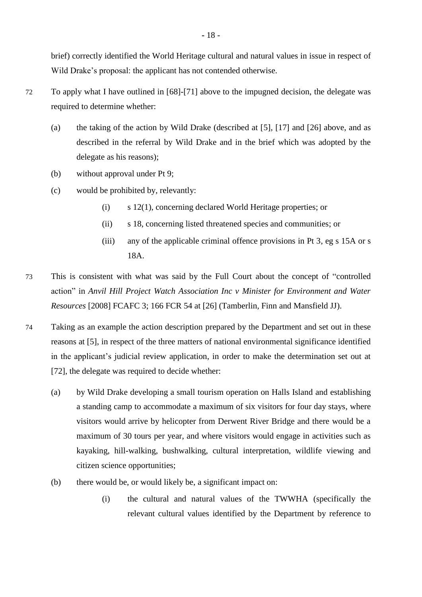brief) correctly identified the World Heritage cultural and natural values in issue in respect of Wild Drake's proposal: the applicant has not contended otherwise.

- <span id="page-22-0"></span>72 To apply what I have outlined in [\[68\]](#page-21-0)-[\[71\]](#page-21-1) above to the impugned decision, the delegate was required to determine whether:
	- (a) the taking of the action by Wild Drake (described at [\[5\]](#page-5-0), [\[17\]](#page-8-0) and [\[26\]](#page-10-0) above, and as described in the referral by Wild Drake and in the brief which was adopted by the delegate as his reasons);
	- (b) without approval under Pt 9;
	- (c) would be prohibited by, relevantly:
		- (i) s 12(1), concerning declared World Heritage properties; or
		- (ii) s 18, concerning listed threatened species and communities; or
		- (iii) any of the applicable criminal offence provisions in Pt 3, eg s 15A or s 18A.
- 73 This is consistent with what was said by the Full Court about the concept of "controlled action" in *Anvil Hill Project Watch Association Inc v Minister for Environment and Water Resources* [2008] FCAFC 3; 166 FCR 54 at [26] (Tamberlin, Finn and Mansfield JJ).
- 74 Taking as an example the action description prepared by the Department and set out in these reasons at [\[5\]](#page-5-0), in respect of the three matters of national environmental significance identified in the applicant's judicial review application, in order to make the determination set out at [\[72\]](#page-22-0), the delegate was required to decide whether:
	- (a) by Wild Drake developing a small tourism operation on Halls Island and establishing a standing camp to accommodate a maximum of six visitors for four day stays, where visitors would arrive by helicopter from Derwent River Bridge and there would be a maximum of 30 tours per year, and where visitors would engage in activities such as kayaking, hill-walking, bushwalking, cultural interpretation, wildlife viewing and citizen science opportunities;
	- (b) there would be, or would likely be, a significant impact on:
		- (i) the cultural and natural values of the TWWHA (specifically the relevant cultural values identified by the Department by reference to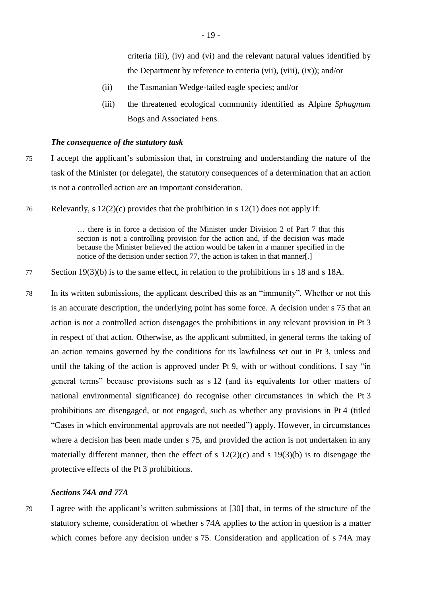criteria (iii), (iv) and (vi) and the relevant natural values identified by the Department by reference to criteria (vii), (viii), (ix)); and/or

- (ii) the Tasmanian Wedge-tailed eagle species; and/or
- (iii) the threatened ecological community identified as Alpine *Sphagnum* Bogs and Associated Fens.

#### *The consequence of the statutory task*

- 75 I accept the applicant's submission that, in construing and understanding the nature of the task of the Minister (or delegate), the statutory consequences of a determination that an action is not a controlled action are an important consideration.
- 76 Relevantly, s 12(2)(c) provides that the prohibition in s 12(1) does not apply if:

… there is in force a decision of the Minister under Division 2 of Part 7 that this section is not a controlling provision for the action and, if the decision was made because the Minister believed the action would be taken in a manner specified in the notice of the decision under section 77, the action is taken in that manner[.]

- 77 Section 19(3)(b) is to the same effect, in relation to the prohibitions in s 18 and s 18A.
- 78 In its written submissions, the applicant described this as an "immunity". Whether or not this is an accurate description, the underlying point has some force. A decision under s 75 that an action is not a controlled action disengages the prohibitions in any relevant provision in Pt 3 in respect of that action. Otherwise, as the applicant submitted, in general terms the taking of an action remains governed by the conditions for its lawfulness set out in Pt 3, unless and until the taking of the action is approved under Pt 9, with or without conditions. I say "in general terms" because provisions such as s 12 (and its equivalents for other matters of national environmental significance) do recognise other circumstances in which the Pt 3 prohibitions are disengaged, or not engaged, such as whether any provisions in Pt 4 (titled "Cases in which environmental approvals are not needed") apply. However, in circumstances where a decision has been made under s 75, and provided the action is not undertaken in any materially different manner, then the effect of s  $12(2)(c)$  and s  $19(3)(b)$  is to disengage the protective effects of the Pt 3 prohibitions.

## *Sections 74A and 77A*

79 I agree with the applicant's written submissions at [30] that, in terms of the structure of the statutory scheme, consideration of whether s 74A applies to the action in question is a matter which comes before any decision under s 75. Consideration and application of s 74A may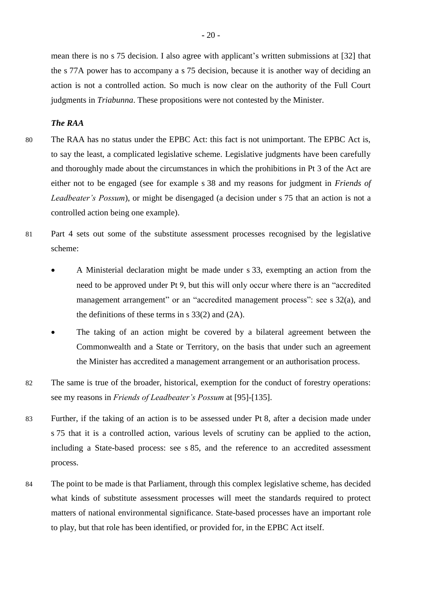mean there is no s 75 decision. I also agree with applicant's written submissions at [32] that the s 77A power has to accompany a s 75 decision, because it is another way of deciding an action is not a controlled action. So much is now clear on the authority of the Full Court judgments in *Triabunna*. These propositions were not contested by the Minister.

## *The RAA*

- 80 The RAA has no status under the EPBC Act: this fact is not unimportant. The EPBC Act is, to say the least, a complicated legislative scheme. Legislative judgments have been carefully and thoroughly made about the circumstances in which the prohibitions in Pt 3 of the Act are either not to be engaged (see for example s 38 and my reasons for judgment in *Friends of Leadbeater's Possum*), or might be disengaged (a decision under s 75 that an action is not a controlled action being one example).
- 81 Part 4 sets out some of the substitute assessment processes recognised by the legislative scheme:
	- A Ministerial declaration might be made under s 33, exempting an action from the need to be approved under Pt 9, but this will only occur where there is an "accredited management arrangement" or an "accredited management process": see s 32(a), and the definitions of these terms in s 33(2) and (2A).
	- The taking of an action might be covered by a bilateral agreement between the Commonwealth and a State or Territory, on the basis that under such an agreement the Minister has accredited a management arrangement or an authorisation process.
- 82 The same is true of the broader, historical, exemption for the conduct of forestry operations: see my reasons in *Friends of Leadbeater's Possum* at [95]-[135].
- 83 Further, if the taking of an action is to be assessed under Pt 8, after a decision made under s 75 that it is a controlled action, various levels of scrutiny can be applied to the action, including a State-based process: see s 85, and the reference to an accredited assessment process.
- 84 The point to be made is that Parliament, through this complex legislative scheme, has decided what kinds of substitute assessment processes will meet the standards required to protect matters of national environmental significance. State-based processes have an important role to play, but that role has been identified, or provided for, in the EPBC Act itself.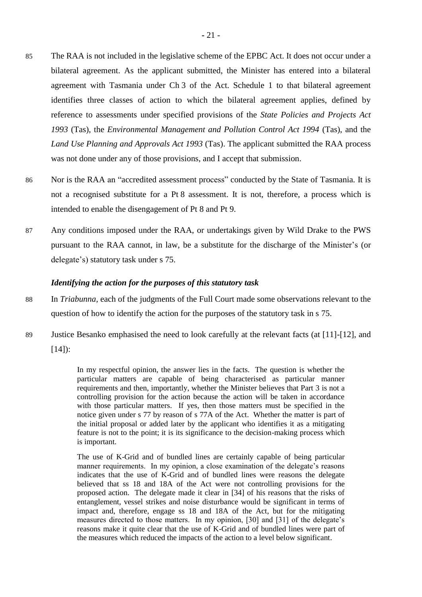- 85 The RAA is not included in the legislative scheme of the EPBC Act. It does not occur under a bilateral agreement. As the applicant submitted, the Minister has entered into a bilateral agreement with Tasmania under Ch 3 of the Act. Schedule 1 to that bilateral agreement identifies three classes of action to which the bilateral agreement applies, defined by reference to assessments under specified provisions of the *State Policies and Projects Act 1993* (Tas), the *Environmental Management and Pollution Control Act 1994* (Tas), and the *Land Use Planning and Approvals Act 1993* (Tas). The applicant submitted the RAA process was not done under any of those provisions, and I accept that submission.
- 86 Nor is the RAA an "accredited assessment process" conducted by the State of Tasmania. It is not a recognised substitute for a Pt 8 assessment. It is not, therefore, a process which is intended to enable the disengagement of Pt 8 and Pt 9.
- 87 Any conditions imposed under the RAA, or undertakings given by Wild Drake to the PWS pursuant to the RAA cannot, in law, be a substitute for the discharge of the Minister's (or delegate's) statutory task under s 75.

#### *Identifying the action for the purposes of this statutory task*

- 88 In *Triabunna*, each of the judgments of the Full Court made some observations relevant to the question of how to identify the action for the purposes of the statutory task in s 75.
- 89 Justice Besanko emphasised the need to look carefully at the relevant facts (at [11]-[12], and  $[14]$ :

In my respectful opinion, the answer lies in the facts. The question is whether the particular matters are capable of being characterised as particular manner requirements and then, importantly, whether the Minister believes that Part 3 is not a controlling provision for the action because the action will be taken in accordance with those particular matters. If yes, then those matters must be specified in the notice given under s 77 by reason of s 77A of the Act. Whether the matter is part of the initial proposal or added later by the applicant who identifies it as a mitigating feature is not to the point; it is its significance to the decision-making process which is important.

The use of K-Grid and of bundled lines are certainly capable of being particular manner requirements. In my opinion, a close examination of the delegate's reasons indicates that the use of K-Grid and of bundled lines were reasons the delegate believed that ss 18 and 18A of the Act were not controlling provisions for the proposed action. The delegate made it clear in [34] of his reasons that the risks of entanglement, vessel strikes and noise disturbance would be significant in terms of impact and, therefore, engage ss 18 and 18A of the Act, but for the mitigating measures directed to those matters. In my opinion, [30] and [31] of the delegate's reasons make it quite clear that the use of K-Grid and of bundled lines were part of the measures which reduced the impacts of the action to a level below significant.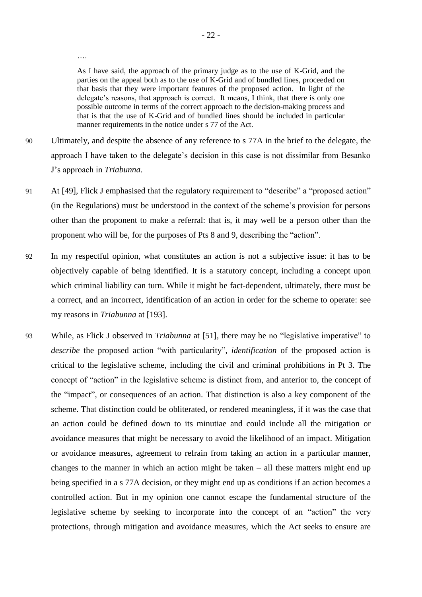….

As I have said, the approach of the primary judge as to the use of K-Grid, and the parties on the appeal both as to the use of K-Grid and of bundled lines, proceeded on that basis that they were important features of the proposed action. In light of the delegate's reasons, that approach is correct. It means, I think, that there is only one possible outcome in terms of the correct approach to the decision-making process and that is that the use of K-Grid and of bundled lines should be included in particular manner requirements in the notice under s 77 of the Act.

- 90 Ultimately, and despite the absence of any reference to s 77A in the brief to the delegate, the approach I have taken to the delegate's decision in this case is not dissimilar from Besanko J's approach in *Triabunna*.
- 91 At [49], Flick J emphasised that the regulatory requirement to "describe" a "proposed action" (in the Regulations) must be understood in the context of the scheme's provision for persons other than the proponent to make a referral: that is, it may well be a person other than the proponent who will be, for the purposes of Pts 8 and 9, describing the "action".
- 92 In my respectful opinion, what constitutes an action is not a subjective issue: it has to be objectively capable of being identified. It is a statutory concept, including a concept upon which criminal liability can turn. While it might be fact-dependent, ultimately, there must be a correct, and an incorrect, identification of an action in order for the scheme to operate: see my reasons in *Triabunna* at [193].
- 93 While, as Flick J observed in *Triabunna* at [51], there may be no "legislative imperative" to *describe* the proposed action "with particularity", *identification* of the proposed action is critical to the legislative scheme, including the civil and criminal prohibitions in Pt 3. The concept of "action" in the legislative scheme is distinct from, and anterior to, the concept of the "impact", or consequences of an action. That distinction is also a key component of the scheme. That distinction could be obliterated, or rendered meaningless, if it was the case that an action could be defined down to its minutiae and could include all the mitigation or avoidance measures that might be necessary to avoid the likelihood of an impact. Mitigation or avoidance measures, agreement to refrain from taking an action in a particular manner, changes to the manner in which an action might be taken – all these matters might end up being specified in a s 77A decision, or they might end up as conditions if an action becomes a controlled action. But in my opinion one cannot escape the fundamental structure of the legislative scheme by seeking to incorporate into the concept of an "action" the very protections, through mitigation and avoidance measures, which the Act seeks to ensure are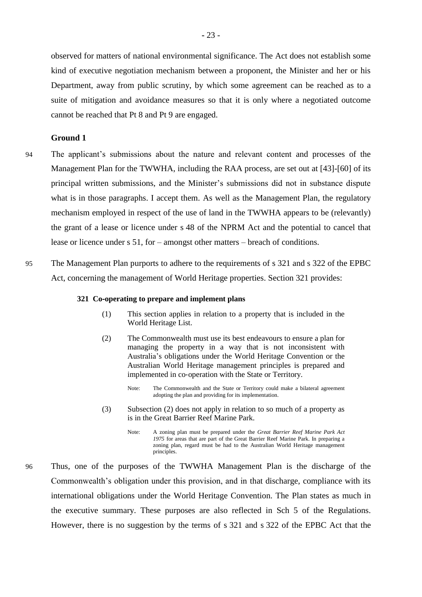observed for matters of national environmental significance. The Act does not establish some kind of executive negotiation mechanism between a proponent, the Minister and her or his Department, away from public scrutiny, by which some agreement can be reached as to a suite of mitigation and avoidance measures so that it is only where a negotiated outcome cannot be reached that Pt 8 and Pt 9 are engaged.

## **Ground 1**

- 94 The applicant's submissions about the nature and relevant content and processes of the Management Plan for the TWWHA, including the RAA process, are set out at [43]-[60] of its principal written submissions, and the Minister's submissions did not in substance dispute what is in those paragraphs. I accept them. As well as the Management Plan, the regulatory mechanism employed in respect of the use of land in the TWWHA appears to be (relevantly) the grant of a lease or licence under s 48 of the NPRM Act and the potential to cancel that lease or licence under s 51, for – amongst other matters – breach of conditions.
- 95 The Management Plan purports to adhere to the requirements of s 321 and s 322 of the EPBC Act, concerning the management of World Heritage properties. Section 321 provides:

#### **321 Co**‑**operating to prepare and implement plans**

- (1) This section applies in relation to a property that is included in the World Heritage List.
- (2) The Commonwealth must use its best endeavours to ensure a plan for managing the property in a way that is not inconsistent with Australia's obligations under the World Heritage Convention or the Australian World Heritage management principles is prepared and implemented in co-operation with the State or Territory.

(3) Subsection (2) does not apply in relation to so much of a property as is in the Great Barrier Reef Marine Park.

96 Thus, one of the purposes of the TWWHA Management Plan is the discharge of the Commonwealth's obligation under this provision, and in that discharge, compliance with its international obligations under the World Heritage Convention. The Plan states as much in the executive summary. These purposes are also reflected in Sch 5 of the Regulations. However, there is no suggestion by the terms of s 321 and s 322 of the EPBC Act that the

Note: The Commonwealth and the State or Territory could make a bilateral agreement adopting the plan and providing for its implementation.

Note: A zoning plan must be prepared under the *Great Barrier Reef Marine Park Act 1975* for areas that are part of the Great Barrier Reef Marine Park. In preparing a zoning plan, regard must be had to the Australian World Heritage management principles.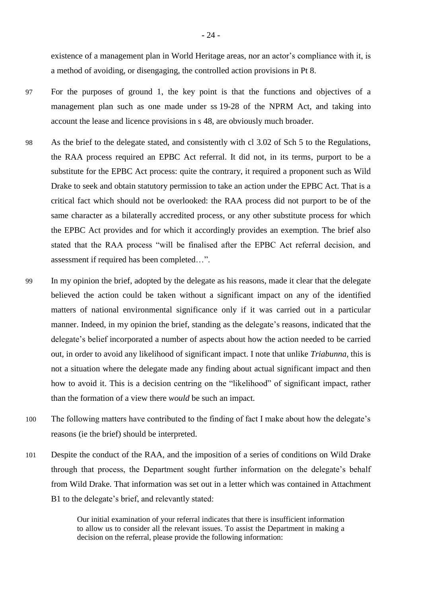existence of a management plan in World Heritage areas, nor an actor's compliance with it, is a method of avoiding, or disengaging, the controlled action provisions in Pt 8.

- 97 For the purposes of ground 1, the key point is that the functions and objectives of a management plan such as one made under ss 19-28 of the NPRM Act, and taking into account the lease and licence provisions in s 48, are obviously much broader.
- 98 As the brief to the delegate stated, and consistently with cl 3.02 of Sch 5 to the Regulations, the RAA process required an EPBC Act referral. It did not, in its terms, purport to be a substitute for the EPBC Act process: quite the contrary, it required a proponent such as Wild Drake to seek and obtain statutory permission to take an action under the EPBC Act. That is a critical fact which should not be overlooked: the RAA process did not purport to be of the same character as a bilaterally accredited process, or any other substitute process for which the EPBC Act provides and for which it accordingly provides an exemption. The brief also stated that the RAA process "will be finalised after the EPBC Act referral decision, and assessment if required has been completed…".
- 99 In my opinion the brief, adopted by the delegate as his reasons, made it clear that the delegate believed the action could be taken without a significant impact on any of the identified matters of national environmental significance only if it was carried out in a particular manner. Indeed, in my opinion the brief, standing as the delegate's reasons, indicated that the delegate's belief incorporated a number of aspects about how the action needed to be carried out, in order to avoid any likelihood of significant impact. I note that unlike *Triabunna*, this is not a situation where the delegate made any finding about actual significant impact and then how to avoid it. This is a decision centring on the "likelihood" of significant impact, rather than the formation of a view there *would* be such an impact.
- 100 The following matters have contributed to the finding of fact I make about how the delegate's reasons (ie the brief) should be interpreted.
- 101 Despite the conduct of the RAA, and the imposition of a series of conditions on Wild Drake through that process, the Department sought further information on the delegate's behalf from Wild Drake. That information was set out in a letter which was contained in Attachment B1 to the delegate's brief, and relevantly stated:

Our initial examination of your referral indicates that there is insufficient information to allow us to consider all the relevant issues. To assist the Department in making a decision on the referral, please provide the following information: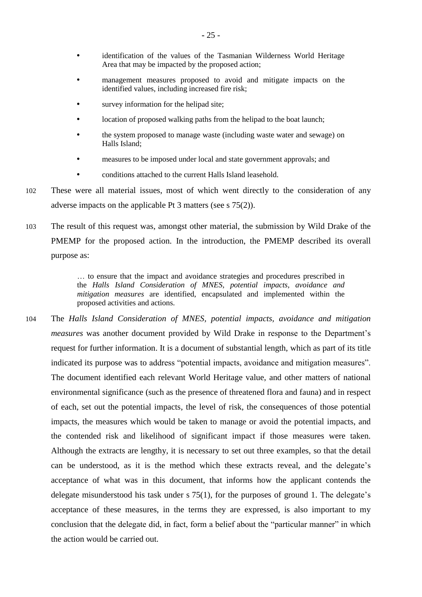- identification of the values of the Tasmanian Wilderness World Heritage Area that may be impacted by the proposed action;
- management measures proposed to avoid and mitigate impacts on the identified values, including increased fire risk;
- survey information for the helipad site;
- location of proposed walking paths from the helipad to the boat launch;
- the system proposed to manage waste (including waste water and sewage) on Halls Island;
- measures to be imposed under local and state government approvals; and
- conditions attached to the current Halls Island leasehold.
- 102 These were all material issues, most of which went directly to the consideration of any adverse impacts on the applicable Pt 3 matters (see s 75(2)).
- 103 The result of this request was, amongst other material, the submission by Wild Drake of the PMEMP for the proposed action. In the introduction, the PMEMP described its overall purpose as:

… to ensure that the impact and avoidance strategies and procedures prescribed in the *Halls Island Consideration of MNES, potential impacts, avoidance and mitigation measures* are identified, encapsulated and implemented within the proposed activities and actions.

104 The *Halls Island Consideration of MNES, potential impacts, avoidance and mitigation measures* was another document provided by Wild Drake in response to the Department's request for further information. It is a document of substantial length, which as part of its title indicated its purpose was to address "potential impacts, avoidance and mitigation measures". The document identified each relevant World Heritage value, and other matters of national environmental significance (such as the presence of threatened flora and fauna) and in respect of each, set out the potential impacts, the level of risk, the consequences of those potential impacts, the measures which would be taken to manage or avoid the potential impacts, and the contended risk and likelihood of significant impact if those measures were taken. Although the extracts are lengthy, it is necessary to set out three examples, so that the detail can be understood, as it is the method which these extracts reveal, and the delegate's acceptance of what was in this document, that informs how the applicant contends the delegate misunderstood his task under s 75(1), for the purposes of ground 1. The delegate's acceptance of these measures, in the terms they are expressed, is also important to my conclusion that the delegate did, in fact, form a belief about the "particular manner" in which the action would be carried out.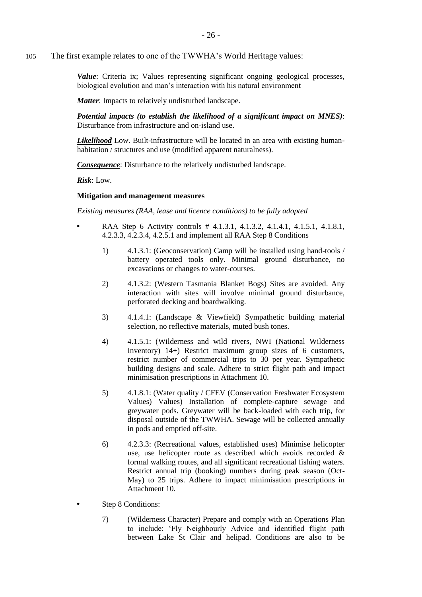<span id="page-30-0"></span>*Value*: Criteria ix; Values representing significant ongoing geological processes, biological evolution and man's interaction with his natural environment

*Matter*: Impacts to relatively undisturbed landscape.

*Potential impacts (to establish the likelihood of a significant impact on MNES)*: Disturbance from infrastructure and on-island use.

*Likelihood* Low. Built-infrastructure will be located in an area with existing humanhabitation / structures and use (modified apparent naturalness).

*Consequence*: Disturbance to the relatively undisturbed landscape.

*Risk*: Low.

#### **Mitigation and management measures**

*Existing measures (RAA, lease and licence conditions) to be fully adopted*

- RAA Step 6 Activity controls # 4.1.3.1, 4.1.3.2, 4.1.4.1, 4.1.5.1, 4.1.8.1, 4.2.3.3, 4.2.3.4, 4.2.5.1 and implement all RAA Step 8 Conditions
	- 1) 4.1.3.1: (Geoconservation) Camp will be installed using hand-tools / battery operated tools only. Minimal ground disturbance, no excavations or changes to water-courses.
	- 2) 4.1.3.2: (Western Tasmania Blanket Bogs) Sites are avoided. Any interaction with sites will involve minimal ground disturbance, perforated decking and boardwalking.
	- 3) 4.1.4.1: (Landscape & Viewfield) Sympathetic building material selection, no reflective materials, muted bush tones.
	- 4) 4.1.5.1: (Wilderness and wild rivers, NWI (National Wilderness Inventory) 14+) Restrict maximum group sizes of 6 customers, restrict number of commercial trips to 30 per year. Sympathetic building designs and scale. Adhere to strict flight path and impact minimisation prescriptions in Attachment 10.
	- 5) 4.1.8.1: (Water quality / CFEV (Conservation Freshwater Ecosystem Values) Values) Installation of complete-capture sewage and greywater pods. Greywater will be back-loaded with each trip, for disposal outside of the TWWHA. Sewage will be collected annually in pods and emptied off-site.
	- 6) 4.2.3.3: (Recreational values, established uses) Minimise helicopter use, use helicopter route as described which avoids recorded & formal walking routes, and all significant recreational fishing waters. Restrict annual trip (booking) numbers during peak season (Oct-May) to 25 trips. Adhere to impact minimisation prescriptions in Attachment 10.
- Step 8 Conditions:
	- 7) (Wilderness Character) Prepare and comply with an Operations Plan to include: 'Fly Neighbourly Advice and identified flight path between Lake St Clair and helipad. Conditions are also to be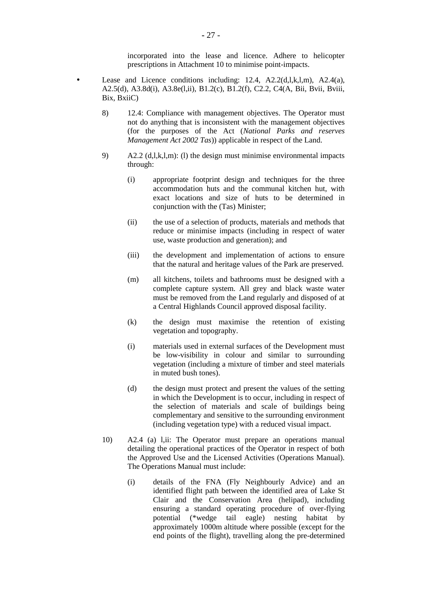incorporated into the lease and licence. Adhere to helicopter prescriptions in Attachment 10 to minimise point-impacts.

- Lease and Licence conditions including: 12.4, A2.2(d,l,k,l,m), A2.4(a), A2.5(d), A3.8d(i), A3.8e(l,ii), B1.2(c), B1.2(f), C2.2, C4(A, Bii, Bvii, Bviii, Bix, BxiiC)
	- 8) 12.4: Compliance with management objectives. The Operator must not do anything that is inconsistent with the management objectives (for the purposes of the Act (*National Parks and reserves Management Act 2002 Tas*)) applicable in respect of the Land.
	- 9) A2.2 (d,l,k,l,m): (l) the design must minimise environmental impacts through:
		- (i) appropriate footprint design and techniques for the three accommodation huts and the communal kitchen hut, with exact locations and size of huts to be determined in conjunction with the (Tas) Minister;
		- (ii) the use of a selection of products, materials and methods that reduce or minimise impacts (including in respect of water use, waste production and generation); and
		- (iii) the development and implementation of actions to ensure that the natural and heritage values of the Park are preserved.
		- (m) all kitchens, toilets and bathrooms must be designed with a complete capture system. All grey and black waste water must be removed from the Land regularly and disposed of at a Central Highlands Council approved disposal facility.
		- (k) the design must maximise the retention of existing vegetation and topography.
		- (i) materials used in external surfaces of the Development must be low-visibility in colour and similar to surrounding vegetation (including a mixture of timber and steel materials in muted bush tones).
		- (d) the design must protect and present the values of the setting in which the Development is to occur, including in respect of the selection of materials and scale of buildings being complementary and sensitive to the surrounding environment (including vegetation type) with a reduced visual impact.
	- 10) A2.4 (a) l,ii: The Operator must prepare an operations manual detailing the operational practices of the Operator in respect of both the Approved Use and the Licensed Activities (Operations Manual). The Operations Manual must include:
		- (i) details of the FNA (Fly Neighbourly Advice) and an identified flight path between the identified area of Lake St Clair and the Conservation Area (helipad), including ensuring a standard operating procedure of over-flying potential (\*wedge tail eagle) nesting habitat by approximately 1000m altitude where possible (except for the end points of the flight), travelling along the pre-determined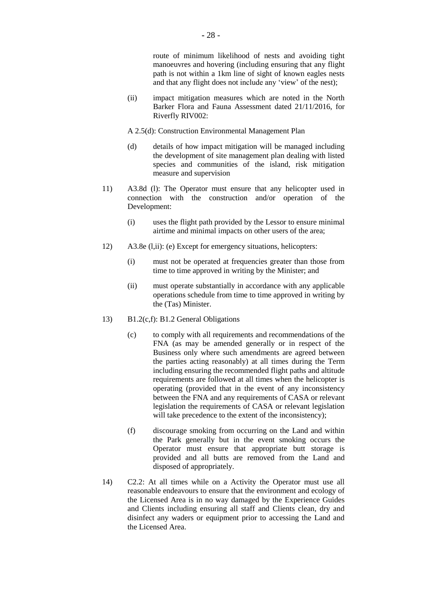route of minimum likelihood of nests and avoiding tight manoeuvres and hovering (including ensuring that any flight path is not within a 1km line of sight of known eagles nests and that any flight does not include any 'view' of the nest);

- (ii) impact mitigation measures which are noted in the North Barker Flora and Fauna Assessment dated 21/11/2016, for Riverfly RIV002:
- A 2.5(d): Construction Environmental Management Plan
- (d) details of how impact mitigation will be managed including the development of site management plan dealing with listed species and communities of the island, risk mitigation measure and supervision
- 11) A3.8d (l): The Operator must ensure that any helicopter used in connection with the construction and/or operation of the Development:
	- (i) uses the flight path provided by the Lessor to ensure minimal airtime and minimal impacts on other users of the area;
- 12) A3.8e (l,ii): (e) Except for emergency situations, helicopters:
	- (i) must not be operated at frequencies greater than those from time to time approved in writing by the Minister; and
	- (ii) must operate substantially in accordance with any applicable operations schedule from time to time approved in writing by the (Tas) Minister.
- 13) B1.2(c,f): B1.2 General Obligations
	- (c) to comply with all requirements and recommendations of the FNA (as may be amended generally or in respect of the Business only where such amendments are agreed between the parties acting reasonably) at all times during the Term including ensuring the recommended flight paths and altitude requirements are followed at all times when the helicopter is operating (provided that in the event of any inconsistency between the FNA and any requirements of CASA or relevant legislation the requirements of CASA or relevant legislation will take precedence to the extent of the inconsistency);
	- (f) discourage smoking from occurring on the Land and within the Park generally but in the event smoking occurs the Operator must ensure that appropriate butt storage is provided and all butts are removed from the Land and disposed of appropriately.
- 14) C2.2: At all times while on a Activity the Operator must use all reasonable endeavours to ensure that the environment and ecology of the Licensed Area is in no way damaged by the Experience Guides and Clients including ensuring all staff and Clients clean, dry and disinfect any waders or equipment prior to accessing the Land and the Licensed Area.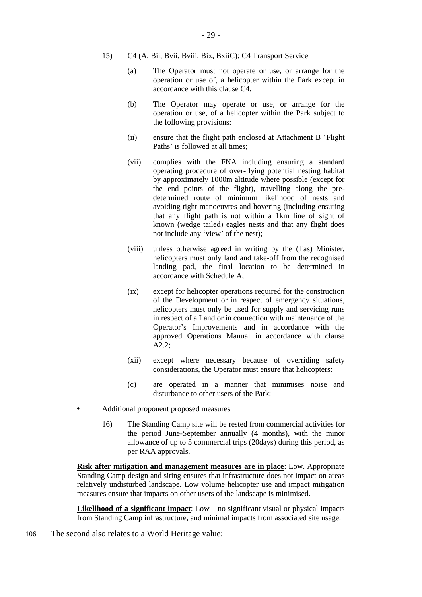- 15) C4 (A, Bii, Bvii, Bviii, Bix, BxiiC): C4 Transport Service
	- (a) The Operator must not operate or use, or arrange for the operation or use of, a helicopter within the Park except in accordance with this clause C4.
	- (b) The Operator may operate or use, or arrange for the operation or use, of a helicopter within the Park subject to the following provisions:
	- (ii) ensure that the flight path enclosed at Attachment B 'Flight Paths' is followed at all times;
	- (vii) complies with the FNA including ensuring a standard operating procedure of over-flying potential nesting habitat by approximately 1000m altitude where possible (except for the end points of the flight), travelling along the predetermined route of minimum likelihood of nests and avoiding tight manoeuvres and hovering (including ensuring that any flight path is not within a 1km line of sight of known (wedge tailed) eagles nests and that any flight does not include any 'view' of the nest);
	- (viii) unless otherwise agreed in writing by the (Tas) Minister, helicopters must only land and take-off from the recognised landing pad, the final location to be determined in accordance with Schedule A;
	- (ix) except for helicopter operations required for the construction of the Development or in respect of emergency situations, helicopters must only be used for supply and servicing runs in respect of a Land or in connection with maintenance of the Operator's Improvements and in accordance with the approved Operations Manual in accordance with clause A2.2;
	- (xii) except where necessary because of overriding safety considerations, the Operator must ensure that helicopters:
	- (c) are operated in a manner that minimises noise and disturbance to other users of the Park;
- Additional proponent proposed measures
	- 16) The Standing Camp site will be rested from commercial activities for the period June-September annually (4 months), with the minor allowance of up to 5 commercial trips (20days) during this period, as per RAA approvals.

**Risk after mitigation and management measures are in place**: Low. Appropriate Standing Camp design and siting ensures that infrastructure does not impact on areas relatively undisturbed landscape. Low volume helicopter use and impact mitigation measures ensure that impacts on other users of the landscape is minimised.

**Likelihood of a significant impact**: Low – no significant visual or physical impacts from Standing Camp infrastructure, and minimal impacts from associated site usage.

106 The second also relates to a World Heritage value: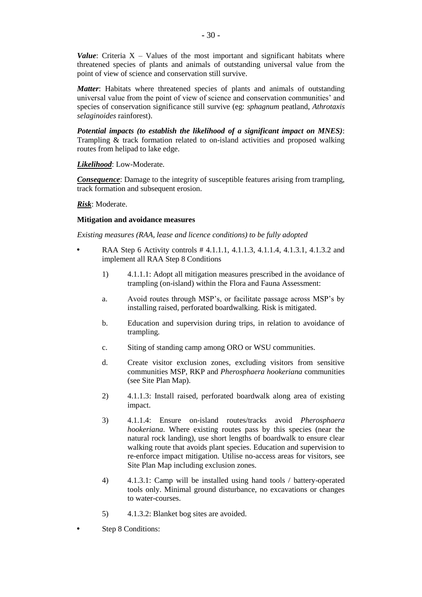*Value*: Criteria  $X -$  Values of the most important and significant habitats where threatened species of plants and animals of outstanding universal value from the point of view of science and conservation still survive.

*Matter*: Habitats where threatened species of plants and animals of outstanding universal value from the point of view of science and conservation communities' and species of conservation significance still survive (eg: *sphagnum* peatland, *Athrotaxis selaginoides* rainforest).

*Potential impacts (to establish the likelihood of a significant impact on MNES)*: Trampling & track formation related to on-island activities and proposed walking routes from helipad to lake edge.

*Likelihood*: Low-Moderate.

*Consequence*: Damage to the integrity of susceptible features arising from trampling, track formation and subsequent erosion.

*Risk*: Moderate.

#### **Mitigation and avoidance measures**

*Existing measures (RAA, lease and licence conditions) to be fully adopted*

- RAA Step 6 Activity controls # 4.1.1.1, 4.1.1.3, 4.1.1.4, 4.1.3.1, 4.1.3.2 and implement all RAA Step 8 Conditions
	- 1) 4.1.1.1: Adopt all mitigation measures prescribed in the avoidance of trampling (on-island) within the Flora and Fauna Assessment:
	- a. Avoid routes through MSP's, or facilitate passage across MSP's by installing raised, perforated boardwalking. Risk is mitigated.
	- b. Education and supervision during trips, in relation to avoidance of trampling.
	- c. Siting of standing camp among ORO or WSU communities.
	- d. Create visitor exclusion zones, excluding visitors from sensitive communities MSP, RKP and *Pherosphaera hookeriana* communities (see Site Plan Map).
	- 2) 4.1.1.3: Install raised, perforated boardwalk along area of existing impact.
	- 3) 4.1.1.4: Ensure on-island routes/tracks avoid *Pherosphaera hookeriana*. Where existing routes pass by this species (near the natural rock landing), use short lengths of boardwalk to ensure clear walking route that avoids plant species. Education and supervision to re-enforce impact mitigation. Utilise no-access areas for visitors, see Site Plan Map including exclusion zones.
	- 4) 4.1.3.1: Camp will be installed using hand tools / battery-operated tools only. Minimal ground disturbance, no excavations or changes to water-courses.
	- 5) 4.1.3.2: Blanket bog sites are avoided.
- Step 8 Conditions: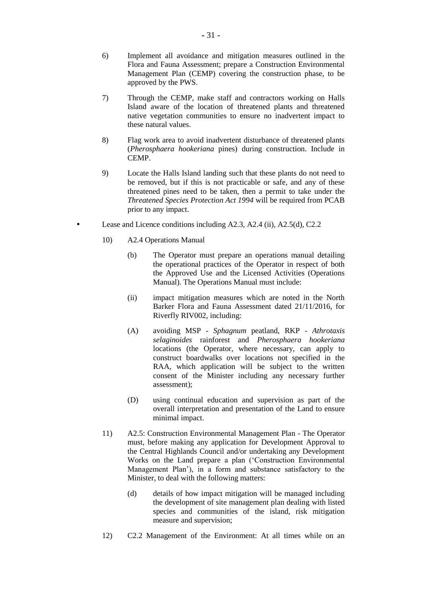- 6) Implement all avoidance and mitigation measures outlined in the Flora and Fauna Assessment; prepare a Construction Environmental Management Plan (CEMP) covering the construction phase, to be approved by the PWS.
- 7) Through the CEMP, make staff and contractors working on Halls Island aware of the location of threatened plants and threatened native vegetation communities to ensure no inadvertent impact to these natural values.
- 8) Flag work area to avoid inadvertent disturbance of threatened plants (*Pherosphaera hookeriana* pines) during construction. Include in CEMP.
- 9) Locate the Halls Island landing such that these plants do not need to be removed, but if this is not practicable or safe, and any of these threatened pines need to be taken, then a permit to take under the *Threatened Species Protection Act 1994* will be required from PCAB prior to any impact.
- Lease and Licence conditions including A2.3, A2.4 (ii), A2.5(d), C2.2
	- 10) A2.4 Operations Manual
		- (b) The Operator must prepare an operations manual detailing the operational practices of the Operator in respect of both the Approved Use and the Licensed Activities (Operations Manual). The Operations Manual must include:
		- (ii) impact mitigation measures which are noted in the North Barker Flora and Fauna Assessment dated 21/11/2016, for Riverfly RIV002, including:
		- (A) avoiding MSP *Sphagnum* peatland, RKP *Athrotaxis selaginoides* rainforest and *Pherosphaera hookeriana* locations (the Operator, where necessary, can apply to construct boardwalks over locations not specified in the RAA, which application will be subject to the written consent of the Minister including any necessary further assessment);
		- (D) using continual education and supervision as part of the overall interpretation and presentation of the Land to ensure minimal impact.
	- 11) A2.5: Construction Environmental Management Plan The Operator must, before making any application for Development Approval to the Central Highlands Council and/or undertaking any Development Works on the Land prepare a plan ('Construction Environmental Management Plan'), in a form and substance satisfactory to the Minister, to deal with the following matters:
		- (d) details of how impact mitigation will be managed including the development of site management plan dealing with listed species and communities of the island, risk mitigation measure and supervision;
	- 12) C2.2 Management of the Environment: At all times while on an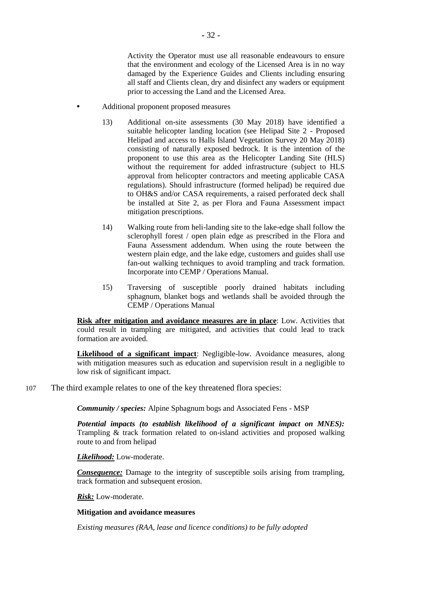Activity the Operator must use all reasonable endeavours to ensure that the environment and ecology of the Licensed Area is in no way damaged by the Experience Guides and Clients including ensuring all staff and Clients clean, dry and disinfect any waders or equipment prior to accessing the Land and the Licensed Area.

- Additional proponent proposed measures
	- 13) Additional on-site assessments (30 May 2018) have identified a suitable helicopter landing location (see Helipad Site 2 - Proposed Helipad and access to Halls Island Vegetation Survey 20 May 2018) consisting of naturally exposed bedrock. It is the intention of the proponent to use this area as the Helicopter Landing Site (HLS) without the requirement for added infrastructure (subject to HLS approval from helicopter contractors and meeting applicable CASA regulations). Should infrastructure (formed helipad) be required due to OH&S and/or CASA requirements, a raised perforated deck shall be installed at Site 2, as per Flora and Fauna Assessment impact mitigation prescriptions.
	- 14) Walking route from heli-landing site to the lake-edge shall follow the sclerophyll forest / open plain edge as prescribed in the Flora and Fauna Assessment addendum. When using the route between the western plain edge, and the lake edge, customers and guides shall use fan-out walking techniques to avoid trampling and track formation. Incorporate into CEMP / Operations Manual.
	- 15) Traversing of susceptible poorly drained habitats including sphagnum, blanket bogs and wetlands shall be avoided through the CEMP / Operations Manual

**Risk after mitigation and avoidance measures are in place**: Low. Activities that could result in trampling are mitigated, and activities that could lead to track formation are avoided.

**Likelihood of a significant impact**: Negligible-low. Avoidance measures, along with mitigation measures such as education and supervision result in a negligible to low risk of significant impact.

107 The third example relates to one of the key threatened flora species:

*Community / species:* Alpine Sphagnum bogs and Associated Fens - MSP

*Potential impacts (to establish likelihood of a significant impact on MNES):* Trampling & track formation related to on-island activities and proposed walking route to and from helipad

*Likelihood:* Low-moderate.

*Consequence:* Damage to the integrity of susceptible soils arising from trampling, track formation and subsequent erosion.

*Risk:* Low-moderate.

#### **Mitigation and avoidance measures**

*Existing measures (RAA, lease and licence conditions) to be fully adopted*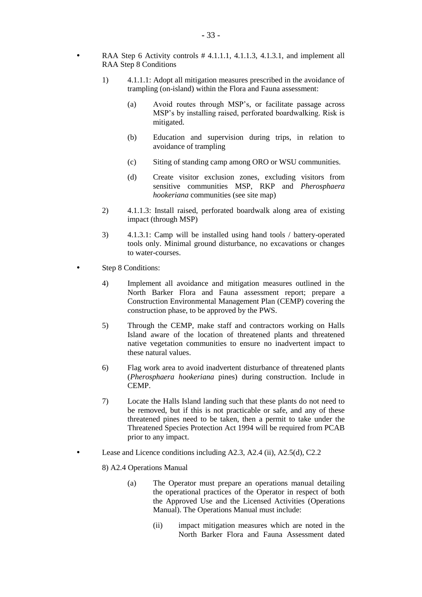- RAA Step 6 Activity controls # 4.1.1.1, 4.1.1.3, 4.1.3.1, and implement all RAA Step 8 Conditions
	- 1) 4.1.1.1: Adopt all mitigation measures prescribed in the avoidance of trampling (on-island) within the Flora and Fauna assessment:
		- (a) Avoid routes through MSP's, or facilitate passage across MSP's by installing raised, perforated boardwalking. Risk is mitigated.
		- (b) Education and supervision during trips, in relation to avoidance of trampling
		- (c) Siting of standing camp among ORO or WSU communities.
		- (d) Create visitor exclusion zones, excluding visitors from sensitive communities MSP, RKP and *Pherosphaera hookeriana* communities (see site map)
	- 2) 4.1.1.3: Install raised, perforated boardwalk along area of existing impact (through MSP)
	- 3) 4.1.3.1: Camp will be installed using hand tools / battery-operated tools only. Minimal ground disturbance, no excavations or changes to water-courses.
- Step 8 Conditions:
	- 4) Implement all avoidance and mitigation measures outlined in the North Barker Flora and Fauna assessment report; prepare a Construction Environmental Management Plan (CEMP) covering the construction phase, to be approved by the PWS.
	- 5) Through the CEMP, make staff and contractors working on Halls Island aware of the location of threatened plants and threatened native vegetation communities to ensure no inadvertent impact to these natural values.
	- 6) Flag work area to avoid inadvertent disturbance of threatened plants (*Pherosphaera hookeriana* pines) during construction. Include in CEMP.
	- 7) Locate the Halls Island landing such that these plants do not need to be removed, but if this is not practicable or safe, and any of these threatened pines need to be taken, then a permit to take under the Threatened Species Protection Act 1994 will be required from PCAB prior to any impact.
- Lease and Licence conditions including A2.3, A2.4 (ii), A2.5(d), C2.2
	- 8) A2.4 Operations Manual
		- (a) The Operator must prepare an operations manual detailing the operational practices of the Operator in respect of both the Approved Use and the Licensed Activities (Operations Manual). The Operations Manual must include:
			- (ii) impact mitigation measures which are noted in the North Barker Flora and Fauna Assessment dated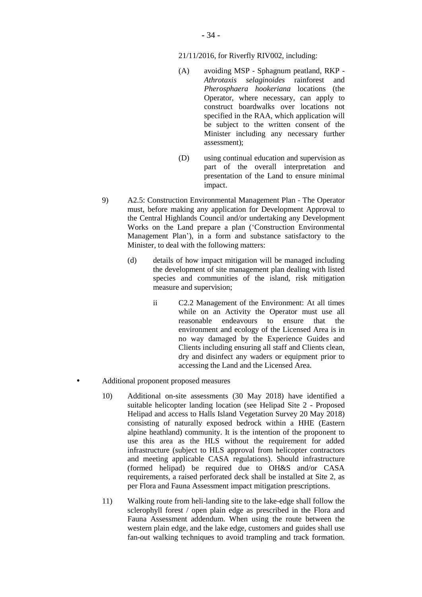#### 21/11/2016, for Riverfly RIV002, including:

- (A) avoiding MSP Sphagnum peatland, RKP *Athrotaxis selaginoides* rainforest and *Pherosphaera hookeriana* locations (the Operator, where necessary, can apply to construct boardwalks over locations not specified in the RAA, which application will be subject to the written consent of the Minister including any necessary further assessment);
- (D) using continual education and supervision as part of the overall interpretation and presentation of the Land to ensure minimal impact.
- 9) A2.5: Construction Environmental Management Plan The Operator must, before making any application for Development Approval to the Central Highlands Council and/or undertaking any Development Works on the Land prepare a plan ('Construction Environmental Management Plan'), in a form and substance satisfactory to the Minister, to deal with the following matters:
	- (d) details of how impact mitigation will be managed including the development of site management plan dealing with listed species and communities of the island, risk mitigation measure and supervision;
		- ii C2.2 Management of the Environment: At all times while on an Activity the Operator must use all reasonable endeavours to ensure that the environment and ecology of the Licensed Area is in no way damaged by the Experience Guides and Clients including ensuring all staff and Clients clean, dry and disinfect any waders or equipment prior to accessing the Land and the Licensed Area.
- Additional proponent proposed measures
	- 10) Additional on-site assessments (30 May 2018) have identified a suitable helicopter landing location (see Helipad Site 2 - Proposed Helipad and access to Halls Island Vegetation Survey 20 May 2018) consisting of naturally exposed bedrock within a HHE (Eastern alpine heathland) community. It is the intention of the proponent to use this area as the HLS without the requirement for added infrastructure (subject to HLS approval from helicopter contractors and meeting applicable CASA regulations). Should infrastructure (formed helipad) be required due to OH&S and/or CASA requirements, a raised perforated deck shall be installed at Site 2, as per Flora and Fauna Assessment impact mitigation prescriptions.
	- 11) Walking route from heli-landing site to the lake-edge shall follow the sclerophyll forest / open plain edge as prescribed in the Flora and Fauna Assessment addendum. When using the route between the western plain edge, and the lake edge, customers and guides shall use fan-out walking techniques to avoid trampling and track formation.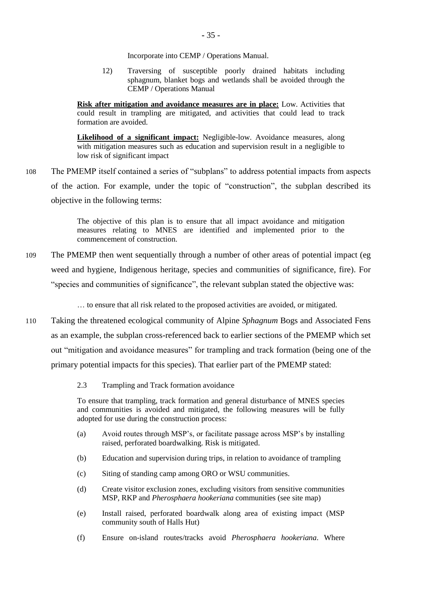Incorporate into CEMP / Operations Manual.

12) Traversing of susceptible poorly drained habitats including sphagnum, blanket bogs and wetlands shall be avoided through the CEMP / Operations Manual

**Risk after mitigation and avoidance measures are in place:** Low. Activities that could result in trampling are mitigated, and activities that could lead to track formation are avoided.

**Likelihood of a significant impact:** Negligible-low. Avoidance measures, along with mitigation measures such as education and supervision result in a negligible to low risk of significant impact

108 The PMEMP itself contained a series of "subplans" to address potential impacts from aspects of the action. For example, under the topic of "construction", the subplan described its objective in the following terms:

> The objective of this plan is to ensure that all impact avoidance and mitigation measures relating to MNES are identified and implemented prior to the commencement of construction.

109 The PMEMP then went sequentially through a number of other areas of potential impact (eg weed and hygiene, Indigenous heritage, species and communities of significance, fire). For "species and communities of significance", the relevant subplan stated the objective was:

… to ensure that all risk related to the proposed activities are avoided, or mitigated.

- 110 Taking the threatened ecological community of Alpine *Sphagnum* Bogs and Associated Fens as an example, the subplan cross-referenced back to earlier sections of the PMEMP which set out "mitigation and avoidance measures" for trampling and track formation (being one of the primary potential impacts for this species). That earlier part of the PMEMP stated:
	- 2.3 Trampling and Track formation avoidance

To ensure that trampling, track formation and general disturbance of MNES species and communities is avoided and mitigated, the following measures will be fully adopted for use during the construction process:

- (a) Avoid routes through MSP's, or facilitate passage across MSP's by installing raised, perforated boardwalking. Risk is mitigated.
- (b) Education and supervision during trips, in relation to avoidance of trampling
- (c) Siting of standing camp among ORO or WSU communities.
- (d) Create visitor exclusion zones, excluding visitors from sensitive communities MSP, RKP and *Pherosphaera hookeriana* communities (see site map)
- (e) Install raised, perforated boardwalk along area of existing impact (MSP community south of Halls Hut)
- (f) Ensure on-island routes/tracks avoid *Pherosphaera hookeriana*. Where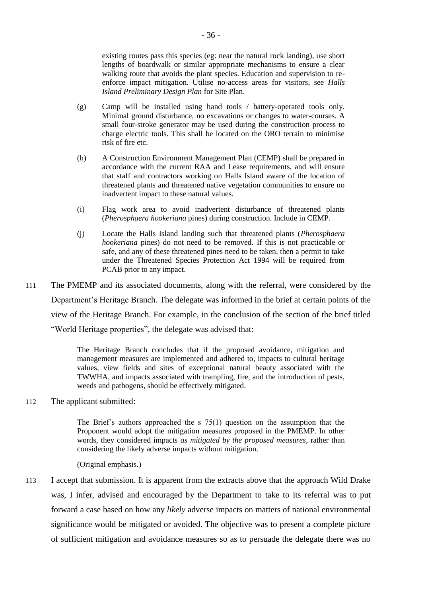existing routes pass this species (eg: near the natural rock landing), use short lengths of boardwalk or similar appropriate mechanisms to ensure a clear walking route that avoids the plant species. Education and supervision to reenforce impact mitigation. Utilise no-access areas for visitors, see *Halls Island Preliminary Design Plan* for Site Plan.

- (g) Camp will be installed using hand tools / battery-operated tools only. Minimal ground disturbance, no excavations or changes to water-courses. A small four-stroke generator may be used during the construction process to charge electric tools. This shall be located on the ORO terrain to minimise risk of fire etc.
- (h) A Construction Environment Management Plan (CEMP) shall be prepared in accordance with the current RAA and Lease requirements, and will ensure that staff and contractors working on Halls Island aware of the location of threatened plants and threatened native vegetation communities to ensure no inadvertent impact to these natural values.
- (i) Flag work area to avoid inadvertent disturbance of threatened plants (*Pherosphaera hookeriana* pines) during construction. Include in CEMP.
- (j) Locate the Halls Island landing such that threatened plants (*Pherosphaera hookeriana* pines) do not need to be removed. If this is not practicable or safe, and any of these threatened pines need to be taken, then a permit to take under the Threatened Species Protection Act 1994 will be required from PCAB prior to any impact.
- 111 The PMEMP and its associated documents, along with the referral, were considered by the Department's Heritage Branch. The delegate was informed in the brief at certain points of the view of the Heritage Branch. For example, in the conclusion of the section of the brief titled "World Heritage properties", the delegate was advised that:

The Heritage Branch concludes that if the proposed avoidance, mitigation and management measures are implemented and adhered to, impacts to cultural heritage values, view fields and sites of exceptional natural beauty associated with the TWWHA, and impacts associated with trampling, fire, and the introduction of pests, weeds and pathogens, should be effectively mitigated.

112 The applicant submitted:

The Brief's authors approached the s 75(1) question on the assumption that the Proponent would adopt the mitigation measures proposed in the PMEMP. In other words, they considered impacts *as mitigated by the proposed measures*, rather than considering the likely adverse impacts without mitigation.

- (Original emphasis.)
- 113 I accept that submission. It is apparent from the extracts above that the approach Wild Drake was, I infer, advised and encouraged by the Department to take to its referral was to put forward a case based on how any *likely* adverse impacts on matters of national environmental significance would be mitigated or avoided. The objective was to present a complete picture of sufficient mitigation and avoidance measures so as to persuade the delegate there was no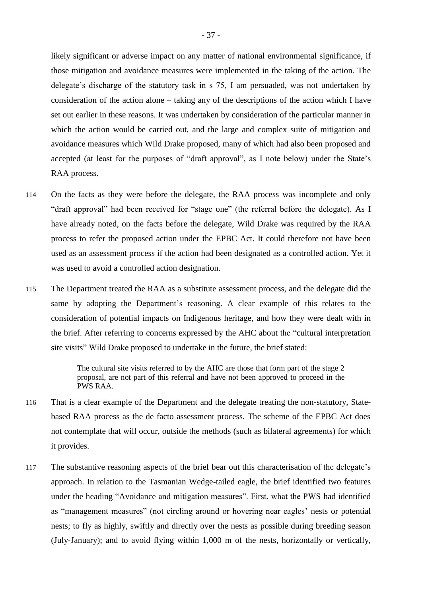likely significant or adverse impact on any matter of national environmental significance, if those mitigation and avoidance measures were implemented in the taking of the action. The delegate's discharge of the statutory task in s 75, I am persuaded, was not undertaken by consideration of the action alone – taking any of the descriptions of the action which I have set out earlier in these reasons. It was undertaken by consideration of the particular manner in which the action would be carried out, and the large and complex suite of mitigation and avoidance measures which Wild Drake proposed, many of which had also been proposed and accepted (at least for the purposes of "draft approval", as I note below) under the State's RAA process.

- 114 On the facts as they were before the delegate, the RAA process was incomplete and only "draft approval" had been received for "stage one" (the referral before the delegate). As I have already noted, on the facts before the delegate, Wild Drake was required by the RAA process to refer the proposed action under the EPBC Act. It could therefore not have been used as an assessment process if the action had been designated as a controlled action. Yet it was used to avoid a controlled action designation.
- <span id="page-41-0"></span>115 The Department treated the RAA as a substitute assessment process, and the delegate did the same by adopting the Department's reasoning. A clear example of this relates to the consideration of potential impacts on Indigenous heritage, and how they were dealt with in the brief. After referring to concerns expressed by the AHC about the "cultural interpretation site visits" Wild Drake proposed to undertake in the future, the brief stated:

The cultural site visits referred to by the AHC are those that form part of the stage 2 proposal, are not part of this referral and have not been approved to proceed in the PWS RAA.

- 116 That is a clear example of the Department and the delegate treating the non-statutory, Statebased RAA process as the de facto assessment process. The scheme of the EPBC Act does not contemplate that will occur, outside the methods (such as bilateral agreements) for which it provides.
- 117 The substantive reasoning aspects of the brief bear out this characterisation of the delegate's approach. In relation to the Tasmanian Wedge-tailed eagle, the brief identified two features under the heading "Avoidance and mitigation measures". First, what the PWS had identified as "management measures" (not circling around or hovering near eagles' nests or potential nests; to fly as highly, swiftly and directly over the nests as possible during breeding season (July-January); and to avoid flying within 1,000 m of the nests, horizontally or vertically,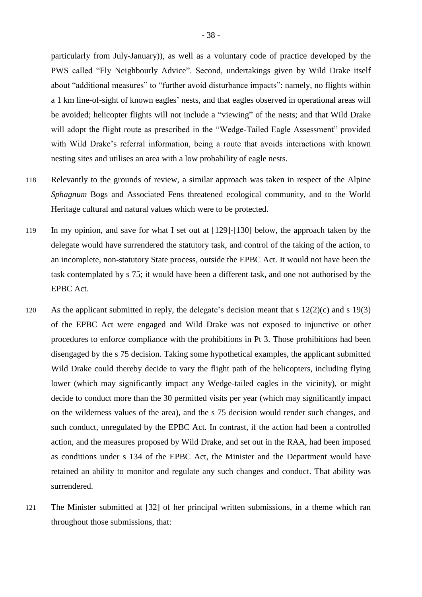particularly from July-January)), as well as a voluntary code of practice developed by the PWS called "Fly Neighbourly Advice". Second, undertakings given by Wild Drake itself about "additional measures" to "further avoid disturbance impacts": namely, no flights within a 1 km line-of-sight of known eagles' nests, and that eagles observed in operational areas will be avoided; helicopter flights will not include a "viewing" of the nests; and that Wild Drake will adopt the flight route as prescribed in the "Wedge-Tailed Eagle Assessment" provided with Wild Drake's referral information, being a route that avoids interactions with known nesting sites and utilises an area with a low probability of eagle nests.

- 118 Relevantly to the grounds of review, a similar approach was taken in respect of the Alpine *Sphagnum* Bogs and Associated Fens threatened ecological community, and to the World Heritage cultural and natural values which were to be protected.
- 119 In my opinion, and save for what I set out at [\[129\]](#page-45-0)-[\[130\]](#page-45-1) below, the approach taken by the delegate would have surrendered the statutory task, and control of the taking of the action, to an incomplete, non-statutory State process, outside the EPBC Act. It would not have been the task contemplated by s 75; it would have been a different task, and one not authorised by the EPBC Act.
- 120 As the applicant submitted in reply, the delegate's decision meant that s 12(2)(c) and s 19(3) of the EPBC Act were engaged and Wild Drake was not exposed to injunctive or other procedures to enforce compliance with the prohibitions in Pt 3. Those prohibitions had been disengaged by the s 75 decision. Taking some hypothetical examples, the applicant submitted Wild Drake could thereby decide to vary the flight path of the helicopters, including flying lower (which may significantly impact any Wedge-tailed eagles in the vicinity), or might decide to conduct more than the 30 permitted visits per year (which may significantly impact on the wilderness values of the area), and the s 75 decision would render such changes, and such conduct, unregulated by the EPBC Act. In contrast, if the action had been a controlled action, and the measures proposed by Wild Drake, and set out in the RAA, had been imposed as conditions under s 134 of the EPBC Act, the Minister and the Department would have retained an ability to monitor and regulate any such changes and conduct. That ability was surrendered.
- 121 The Minister submitted at [32] of her principal written submissions, in a theme which ran throughout those submissions, that: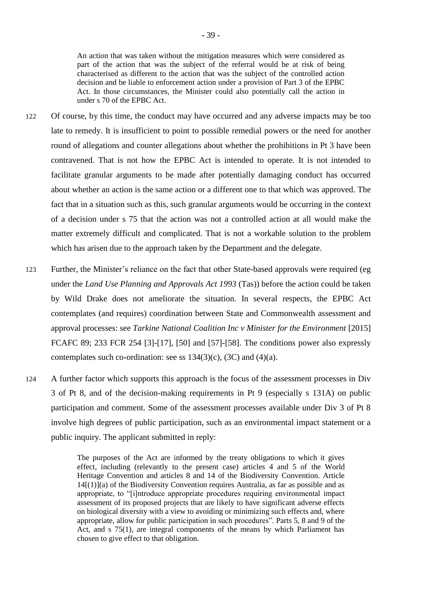An action that was taken without the mitigation measures which were considered as part of the action that was the subject of the referral would be at risk of being characterised as different to the action that was the subject of the controlled action decision and be liable to enforcement action under a provision of Part 3 of the EPBC Act. In those circumstances, the Minister could also potentially call the action in under s 70 of the EPBC Act.

- 122 Of course, by this time, the conduct may have occurred and any adverse impacts may be too late to remedy. It is insufficient to point to possible remedial powers or the need for another round of allegations and counter allegations about whether the prohibitions in Pt 3 have been contravened. That is not how the EPBC Act is intended to operate. It is not intended to facilitate granular arguments to be made after potentially damaging conduct has occurred about whether an action is the same action or a different one to that which was approved. The fact that in a situation such as this, such granular arguments would be occurring in the context of a decision under s 75 that the action was not a controlled action at all would make the matter extremely difficult and complicated. That is not a workable solution to the problem which has arisen due to the approach taken by the Department and the delegate.
- 123 Further, the Minister's reliance on the fact that other State-based approvals were required (eg under the *Land Use Planning and Approvals Act 1993* (Tas)) before the action could be taken by Wild Drake does not ameliorate the situation. In several respects, the EPBC Act contemplates (and requires) coordination between State and Commonwealth assessment and approval processes: see *Tarkine National Coalition Inc v Minister for the Environment* [2015] FCAFC 89; 233 FCR 254 [3]-[17], [50] and [57]-[58]. The conditions power also expressly contemplates such co-ordination: see ss  $134(3)(c)$ ,  $(3C)$  and  $(4)(a)$ .
- 124 A further factor which supports this approach is the focus of the assessment processes in Div 3 of Pt 8, and of the decision-making requirements in Pt 9 (especially s 131A) on public participation and comment. Some of the assessment processes available under Div 3 of Pt 8 involve high degrees of public participation, such as an environmental impact statement or a public inquiry. The applicant submitted in reply:

The purposes of the Act are informed by the treaty obligations to which it gives effect, including (relevantly to the present case) articles 4 and 5 of the World Heritage Convention and articles 8 and 14 of the Biodiversity Convention. Article 14[(1)](a) of the Biodiversity Convention requires Australia, as far as possible and as appropriate, to "[i]ntroduce appropriate procedures requiring environmental impact assessment of its proposed projects that are likely to have significant adverse effects on biological diversity with a view to avoiding or minimizing such effects and, where appropriate, allow for public participation in such procedures". Parts 5, 8 and 9 of the Act, and s 75(1), are integral components of the means by which Parliament has chosen to give effect to that obligation.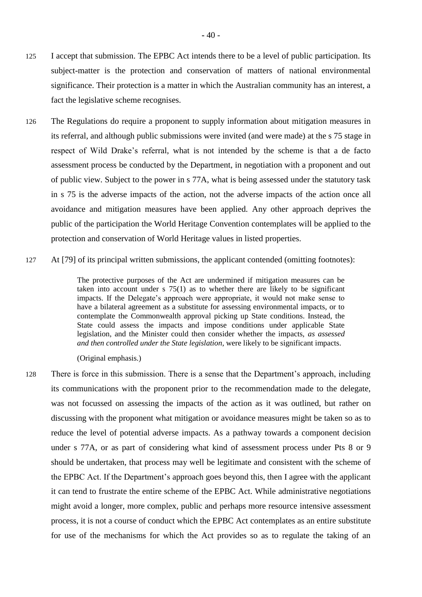- 125 I accept that submission. The EPBC Act intends there to be a level of public participation. Its subject-matter is the protection and conservation of matters of national environmental significance. Their protection is a matter in which the Australian community has an interest, a fact the legislative scheme recognises.
- 126 The Regulations do require a proponent to supply information about mitigation measures in its referral, and although public submissions were invited (and were made) at the s 75 stage in respect of Wild Drake's referral, what is not intended by the scheme is that a de facto assessment process be conducted by the Department, in negotiation with a proponent and out of public view. Subject to the power in s 77A, what is being assessed under the statutory task in s 75 is the adverse impacts of the action, not the adverse impacts of the action once all avoidance and mitigation measures have been applied. Any other approach deprives the public of the participation the World Heritage Convention contemplates will be applied to the protection and conservation of World Heritage values in listed properties.
- 127 At [79] of its principal written submissions, the applicant contended (omitting footnotes):

The protective purposes of the Act are undermined if mitigation measures can be taken into account under  $s$  75(1) as to whether there are likely to be significant impacts. If the Delegate's approach were appropriate, it would not make sense to have a bilateral agreement as a substitute for assessing environmental impacts, or to contemplate the Commonwealth approval picking up State conditions. Instead, the State could assess the impacts and impose conditions under applicable State legislation, and the Minister could then consider whether the impacts, *as assessed and then controlled under the State legislation*, were likely to be significant impacts.

(Original emphasis.)

128 There is force in this submission. There is a sense that the Department's approach, including its communications with the proponent prior to the recommendation made to the delegate, was not focussed on assessing the impacts of the action as it was outlined, but rather on discussing with the proponent what mitigation or avoidance measures might be taken so as to reduce the level of potential adverse impacts. As a pathway towards a component decision under s 77A, or as part of considering what kind of assessment process under Pts 8 or 9 should be undertaken, that process may well be legitimate and consistent with the scheme of the EPBC Act. If the Department's approach goes beyond this, then I agree with the applicant it can tend to frustrate the entire scheme of the EPBC Act. While administrative negotiations might avoid a longer, more complex, public and perhaps more resource intensive assessment process, it is not a course of conduct which the EPBC Act contemplates as an entire substitute for use of the mechanisms for which the Act provides so as to regulate the taking of an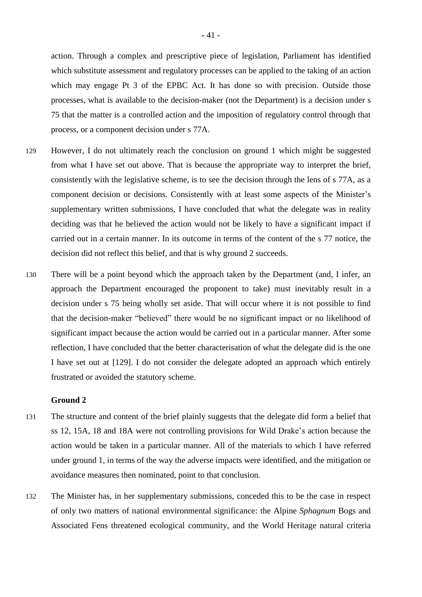action. Through a complex and prescriptive piece of legislation, Parliament has identified which substitute assessment and regulatory processes can be applied to the taking of an action which may engage Pt 3 of the EPBC Act. It has done so with precision. Outside those processes, what is available to the decision-maker (not the Department) is a decision under s 75 that the matter is a controlled action and the imposition of regulatory control through that process, or a component decision under s 77A.

- <span id="page-45-0"></span>129 However, I do not ultimately reach the conclusion on ground 1 which might be suggested from what I have set out above. That is because the appropriate way to interpret the brief, consistently with the legislative scheme, is to see the decision through the lens of s 77A, as a component decision or decisions. Consistently with at least some aspects of the Minister's supplementary written submissions, I have concluded that what the delegate was in reality deciding was that he believed the action would not be likely to have a significant impact if carried out in a certain manner. In its outcome in terms of the content of the s 77 notice, the decision did not reflect this belief, and that is why ground 2 succeeds.
- <span id="page-45-1"></span>130 There will be a point beyond which the approach taken by the Department (and, I infer, an approach the Department encouraged the proponent to take) must inevitably result in a decision under s 75 being wholly set aside. That will occur where it is not possible to find that the decision-maker "believed" there would be no significant impact or no likelihood of significant impact because the action would be carried out in a particular manner. After some reflection, I have concluded that the better characterisation of what the delegate did is the one I have set out at [\[129\]](#page-45-0). I do not consider the delegate adopted an approach which entirely frustrated or avoided the statutory scheme.

## **Ground 2**

- 131 The structure and content of the brief plainly suggests that the delegate did form a belief that ss 12, 15A, 18 and 18A were not controlling provisions for Wild Drake's action because the action would be taken in a particular manner. All of the materials to which I have referred under ground 1, in terms of the way the adverse impacts were identified, and the mitigation or avoidance measures then nominated, point to that conclusion.
- 132 The Minister has, in her supplementary submissions, conceded this to be the case in respect of only two matters of national environmental significance: the Alpine *Sphagnum* Bogs and Associated Fens threatened ecological community, and the World Heritage natural criteria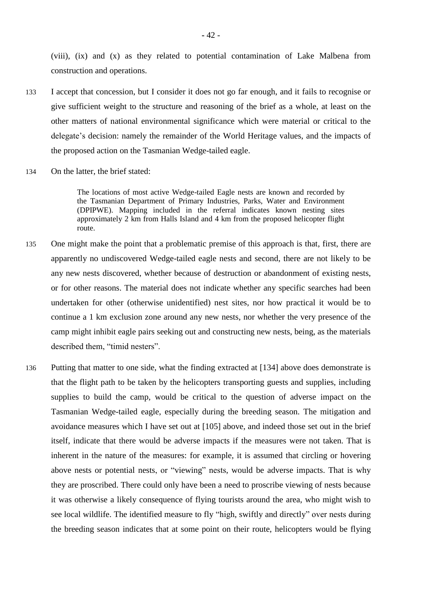(viii), (ix) and (x) as they related to potential contamination of Lake Malbena from construction and operations.

- 133 I accept that concession, but I consider it does not go far enough, and it fails to recognise or give sufficient weight to the structure and reasoning of the brief as a whole, at least on the other matters of national environmental significance which were material or critical to the delegate's decision: namely the remainder of the World Heritage values, and the impacts of the proposed action on the Tasmanian Wedge-tailed eagle.
- <span id="page-46-0"></span>134 On the latter, the brief stated:

The locations of most active Wedge-tailed Eagle nests are known and recorded by the Tasmanian Department of Primary Industries, Parks, Water and Environment (DPIPWE). Mapping included in the referral indicates known nesting sites approximately 2 km from Halls Island and 4 km from the proposed helicopter flight route.

- 135 One might make the point that a problematic premise of this approach is that, first, there are apparently no undiscovered Wedge-tailed eagle nests and second, there are not likely to be any new nests discovered, whether because of destruction or abandonment of existing nests, or for other reasons. The material does not indicate whether any specific searches had been undertaken for other (otherwise unidentified) nest sites, nor how practical it would be to continue a 1 km exclusion zone around any new nests, nor whether the very presence of the camp might inhibit eagle pairs seeking out and constructing new nests, being, as the materials described them, "timid nesters".
- 136 Putting that matter to one side, what the finding extracted at [\[134\]](#page-46-0) above does demonstrate is that the flight path to be taken by the helicopters transporting guests and supplies, including supplies to build the camp, would be critical to the question of adverse impact on the Tasmanian Wedge-tailed eagle, especially during the breeding season. The mitigation and avoidance measures which I have set out at [\[105\]](#page-30-0) above, and indeed those set out in the brief itself, indicate that there would be adverse impacts if the measures were not taken. That is inherent in the nature of the measures: for example, it is assumed that circling or hovering above nests or potential nests, or "viewing" nests, would be adverse impacts. That is why they are proscribed. There could only have been a need to proscribe viewing of nests because it was otherwise a likely consequence of flying tourists around the area, who might wish to see local wildlife. The identified measure to fly "high, swiftly and directly" over nests during the breeding season indicates that at some point on their route, helicopters would be flying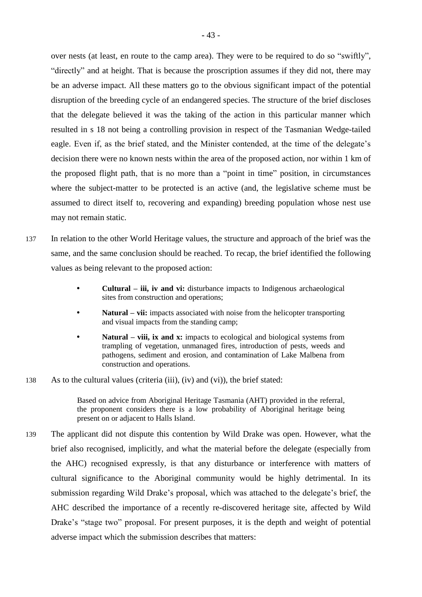over nests (at least, en route to the camp area). They were to be required to do so "swiftly", "directly" and at height. That is because the proscription assumes if they did not, there may be an adverse impact. All these matters go to the obvious significant impact of the potential disruption of the breeding cycle of an endangered species. The structure of the brief discloses that the delegate believed it was the taking of the action in this particular manner which resulted in s 18 not being a controlling provision in respect of the Tasmanian Wedge-tailed eagle. Even if, as the brief stated, and the Minister contended, at the time of the delegate's decision there were no known nests within the area of the proposed action, nor within 1 km of the proposed flight path, that is no more than a "point in time" position, in circumstances where the subject-matter to be protected is an active (and, the legislative scheme must be assumed to direct itself to, recovering and expanding) breeding population whose nest use may not remain static.

- <span id="page-47-0"></span>137 In relation to the other World Heritage values, the structure and approach of the brief was the same, and the same conclusion should be reached. To recap, the brief identified the following values as being relevant to the proposed action:
	- **Cultural – iii, iv and vi:** disturbance impacts to Indigenous archaeological sites from construction and operations;
	- **Natural – vii:** impacts associated with noise from the helicopter transporting and visual impacts from the standing camp;
	- **Natural viii, ix and x:** impacts to ecological and biological systems from trampling of vegetation, unmanaged fires, introduction of pests, weeds and pathogens, sediment and erosion, and contamination of Lake Malbena from construction and operations.
- 138 As to the cultural values (criteria (iii), (iv) and (vi)), the brief stated:

Based on advice from Aboriginal Heritage Tasmania (AHT) provided in the referral, the proponent considers there is a low probability of Aboriginal heritage being present on or adjacent to Halls Island.

139 The applicant did not dispute this contention by Wild Drake was open. However, what the brief also recognised, implicitly, and what the material before the delegate (especially from the AHC) recognised expressly, is that any disturbance or interference with matters of cultural significance to the Aboriginal community would be highly detrimental. In its submission regarding Wild Drake's proposal, which was attached to the delegate's brief, the AHC described the importance of a recently re-discovered heritage site, affected by Wild Drake's "stage two" proposal. For present purposes, it is the depth and weight of potential adverse impact which the submission describes that matters: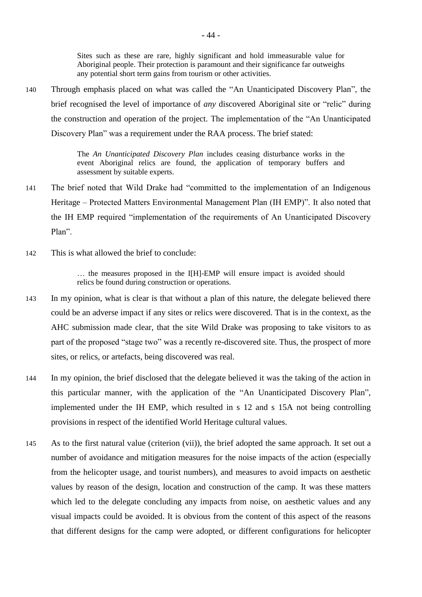Sites such as these are rare, highly significant and hold immeasurable value for Aboriginal people. Their protection is paramount and their significance far outweighs any potential short term gains from tourism or other activities.

140 Through emphasis placed on what was called the "An Unanticipated Discovery Plan", the brief recognised the level of importance of *any* discovered Aboriginal site or "relic" during the construction and operation of the project. The implementation of the "An Unanticipated Discovery Plan" was a requirement under the RAA process. The brief stated:

> The *An Unanticipated Discovery Plan* includes ceasing disturbance works in the event Aboriginal relics are found, the application of temporary buffers and assessment by suitable experts.

- 141 The brief noted that Wild Drake had "committed to the implementation of an Indigenous Heritage – Protected Matters Environmental Management Plan (IH EMP)". It also noted that the IH EMP required "implementation of the requirements of An Unanticipated Discovery Plan".
- 142 This is what allowed the brief to conclude:

… the measures proposed in the I[H]-EMP will ensure impact is avoided should relics be found during construction or operations.

- 143 In my opinion, what is clear is that without a plan of this nature, the delegate believed there could be an adverse impact if any sites or relics were discovered. That is in the context, as the AHC submission made clear, that the site Wild Drake was proposing to take visitors to as part of the proposed "stage two" was a recently re-discovered site. Thus, the prospect of more sites, or relics, or artefacts, being discovered was real.
- 144 In my opinion, the brief disclosed that the delegate believed it was the taking of the action in this particular manner, with the application of the "An Unanticipated Discovery Plan", implemented under the IH EMP, which resulted in s 12 and s 15A not being controlling provisions in respect of the identified World Heritage cultural values.
- 145 As to the first natural value (criterion (vii)), the brief adopted the same approach. It set out a number of avoidance and mitigation measures for the noise impacts of the action (especially from the helicopter usage, and tourist numbers), and measures to avoid impacts on aesthetic values by reason of the design, location and construction of the camp. It was these matters which led to the delegate concluding any impacts from noise, on aesthetic values and any visual impacts could be avoided. It is obvious from the content of this aspect of the reasons that different designs for the camp were adopted, or different configurations for helicopter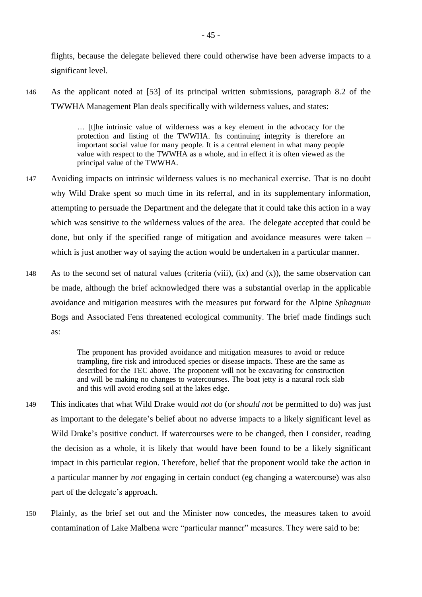flights, because the delegate believed there could otherwise have been adverse impacts to a significant level.

146 As the applicant noted at [53] of its principal written submissions, paragraph 8.2 of the TWWHA Management Plan deals specifically with wilderness values, and states:

> … [t]he intrinsic value of wilderness was a key element in the advocacy for the protection and listing of the TWWHA. Its continuing integrity is therefore an important social value for many people. It is a central element in what many people value with respect to the TWWHA as a whole, and in effect it is often viewed as the principal value of the TWWHA.

- 147 Avoiding impacts on intrinsic wilderness values is no mechanical exercise. That is no doubt why Wild Drake spent so much time in its referral, and in its supplementary information, attempting to persuade the Department and the delegate that it could take this action in a way which was sensitive to the wilderness values of the area. The delegate accepted that could be done, but only if the specified range of mitigation and avoidance measures were taken – which is just another way of saying the action would be undertaken in a particular manner.
- 148 As to the second set of natural values (criteria (viii), (ix) and (x)), the same observation can be made, although the brief acknowledged there was a substantial overlap in the applicable avoidance and mitigation measures with the measures put forward for the Alpine *Sphagnum* Bogs and Associated Fens threatened ecological community. The brief made findings such as:

The proponent has provided avoidance and mitigation measures to avoid or reduce trampling, fire risk and introduced species or disease impacts. These are the same as described for the TEC above. The proponent will not be excavating for construction and will be making no changes to watercourses. The boat jetty is a natural rock slab and this will avoid eroding soil at the lakes edge.

- 149 This indicates that what Wild Drake would *not* do (or *should not* be permitted to do) was just as important to the delegate's belief about no adverse impacts to a likely significant level as Wild Drake's positive conduct. If watercourses were to be changed, then I consider, reading the decision as a whole, it is likely that would have been found to be a likely significant impact in this particular region. Therefore, belief that the proponent would take the action in a particular manner by *not* engaging in certain conduct (eg changing a watercourse) was also part of the delegate's approach.
- 150 Plainly, as the brief set out and the Minister now concedes, the measures taken to avoid contamination of Lake Malbena were "particular manner" measures. They were said to be: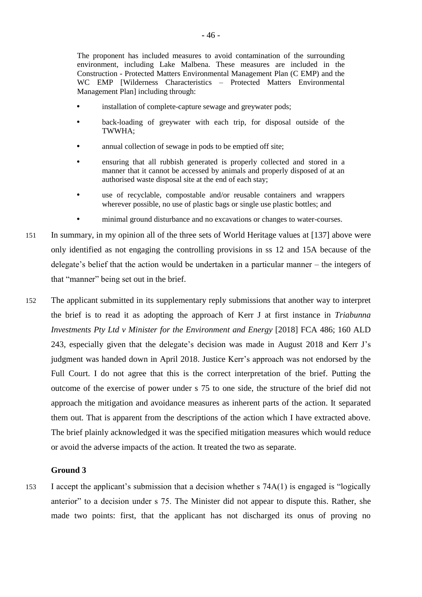The proponent has included measures to avoid contamination of the surrounding environment, including Lake Malbena. These measures are included in the Construction - Protected Matters Environmental Management Plan (C EMP) and the WC EMP [Wilderness Characteristics – Protected Matters Environmental Management Plan] including through:

- installation of complete-capture sewage and greywater pods;
- back-loading of greywater with each trip, for disposal outside of the TWWHA;
- annual collection of sewage in pods to be emptied off site;
- ensuring that all rubbish generated is properly collected and stored in a manner that it cannot be accessed by animals and properly disposed of at an authorised waste disposal site at the end of each stay;
- use of recyclable, compostable and/or reusable containers and wrappers wherever possible, no use of plastic bags or single use plastic bottles; and
- minimal ground disturbance and no excavations or changes to water-courses.
- 151 In summary, in my opinion all of the three sets of World Heritage values at [\[137\]](#page-47-0) above were only identified as not engaging the controlling provisions in ss 12 and 15A because of the delegate's belief that the action would be undertaken in a particular manner – the integers of that "manner" being set out in the brief.
- 152 The applicant submitted in its supplementary reply submissions that another way to interpret the brief is to read it as adopting the approach of Kerr J at first instance in *Triabunna Investments Pty Ltd v Minister for the Environment and Energy* [2018] FCA 486; 160 ALD 243, especially given that the delegate's decision was made in August 2018 and Kerr J's judgment was handed down in April 2018. Justice Kerr's approach was not endorsed by the Full Court. I do not agree that this is the correct interpretation of the brief. Putting the outcome of the exercise of power under s 75 to one side, the structure of the brief did not approach the mitigation and avoidance measures as inherent parts of the action. It separated them out. That is apparent from the descriptions of the action which I have extracted above. The brief plainly acknowledged it was the specified mitigation measures which would reduce or avoid the adverse impacts of the action. It treated the two as separate.

# **Ground 3**

153 I accept the applicant's submission that a decision whether s 74A(1) is engaged is "logically anterior" to a decision under s 75. The Minister did not appear to dispute this. Rather, she made two points: first, that the applicant has not discharged its onus of proving no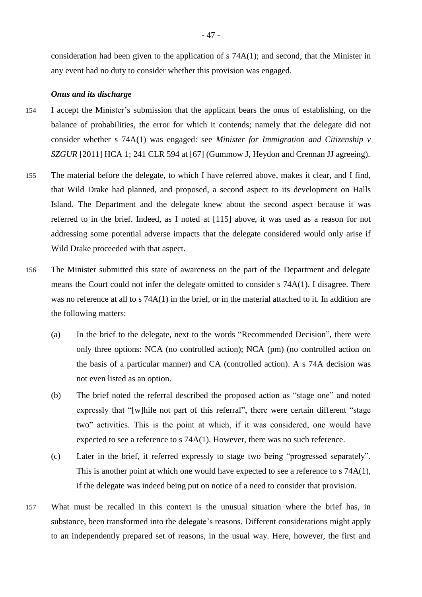consideration had been given to the application of s 74A(1); and second, that the Minister in any event had no duty to consider whether this provision was engaged.

#### *Onus and its discharge*

- 154 I accept the Minister's submission that the applicant bears the onus of establishing, on the balance of probabilities, the error for which it contends; namely that the delegate did not consider whether s 74A(1) was engaged: see *Minister for Immigration and Citizenship v SZGUR* [2011] HCA 1; 241 CLR 594 at [67] (Gummow J, Heydon and Crennan JJ agreeing).
- 155 The material before the delegate, to which I have referred above, makes it clear, and I find, that Wild Drake had planned, and proposed, a second aspect to its development on Halls Island. The Department and the delegate knew about the second aspect because it was referred to in the brief. Indeed, as I noted at [\[115\]](#page-41-0) above, it was used as a reason for not addressing some potential adverse impacts that the delegate considered would only arise if Wild Drake proceeded with that aspect.
- 156 The Minister submitted this state of awareness on the part of the Department and delegate means the Court could not infer the delegate omitted to consider s 74A(1). I disagree. There was no reference at all to s  $74A(1)$  in the brief, or in the material attached to it. In addition are the following matters:
	- (a) In the brief to the delegate, next to the words "Recommended Decision", there were only three options: NCA (no controlled action); NCA (pm) (no controlled action on the basis of a particular manner) and CA (controlled action). A s 74A decision was not even listed as an option.
	- (b) The brief noted the referral described the proposed action as "stage one" and noted expressly that "[w]hile not part of this referral", there were certain different "stage two" activities. This is the point at which, if it was considered, one would have expected to see a reference to s 74A(1). However, there was no such reference.
	- (c) Later in the brief, it referred expressly to stage two being "progressed separately". This is another point at which one would have expected to see a reference to s 74A(1), if the delegate was indeed being put on notice of a need to consider that provision.
- 157 What must be recalled in this context is the unusual situation where the brief has, in substance, been transformed into the delegate's reasons. Different considerations might apply to an independently prepared set of reasons, in the usual way. Here, however, the first and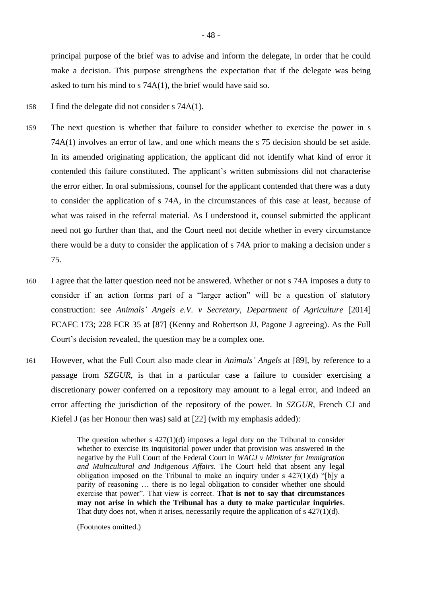principal purpose of the brief was to advise and inform the delegate, in order that he could make a decision. This purpose strengthens the expectation that if the delegate was being asked to turn his mind to s 74A(1), the brief would have said so.

- 158 I find the delegate did not consider s 74A(1).
- 159 The next question is whether that failure to consider whether to exercise the power in s 74A(1) involves an error of law, and one which means the s 75 decision should be set aside. In its amended originating application, the applicant did not identify what kind of error it contended this failure constituted. The applicant's written submissions did not characterise the error either. In oral submissions, counsel for the applicant contended that there was a duty to consider the application of s 74A, in the circumstances of this case at least, because of what was raised in the referral material. As I understood it, counsel submitted the applicant need not go further than that, and the Court need not decide whether in every circumstance there would be a duty to consider the application of s 74A prior to making a decision under s 75.
- 160 I agree that the latter question need not be answered. Whether or not s 74A imposes a duty to consider if an action forms part of a "larger action" will be a question of statutory construction: see *Animals' Angels e.V. v Secretary, Department of Agriculture* [2014] FCAFC 173; 228 FCR 35 at [87] (Kenny and Robertson JJ, Pagone J agreeing). As the Full Court's decision revealed, the question may be a complex one.
- 161 However, what the Full Court also made clear in *Animals' Angels* at [89], by reference to a passage from *SZGUR*, is that in a particular case a failure to consider exercising a discretionary power conferred on a repository may amount to a legal error, and indeed an error affecting the jurisdiction of the repository of the power. In *SZGUR*, French CJ and Kiefel J (as her Honour then was) said at [22] (with my emphasis added):

The question whether s  $427(1)(d)$  imposes a legal duty on the Tribunal to consider whether to exercise its inquisitorial power under that provision was answered in the negative by the Full Court of the Federal Court in *WAGJ v Minister for Immigration and Multicultural and Indigenous Affairs*. The Court held that absent any legal obligation imposed on the Tribunal to make an inquiry under s  $427(1)(d)$  "[b]y a parity of reasoning … there is no legal obligation to consider whether one should exercise that power". That view is correct. **That is not to say that circumstances may not arise in which the Tribunal has a duty to make particular inquiries**. That duty does not, when it arises, necessarily require the application of s 427(1)(d).

(Footnotes omitted.)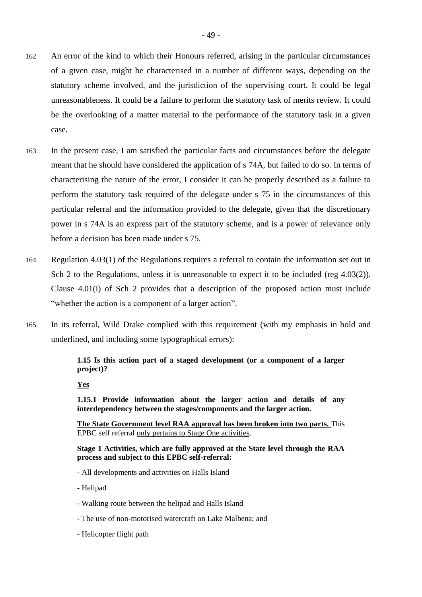- 162 An error of the kind to which their Honours referred, arising in the particular circumstances of a given case, might be characterised in a number of different ways, depending on the statutory scheme involved, and the jurisdiction of the supervising court. It could be legal unreasonableness. It could be a failure to perform the statutory task of merits review. It could be the overlooking of a matter material to the performance of the statutory task in a given case.
- 163 In the present case, I am satisfied the particular facts and circumstances before the delegate meant that he should have considered the application of s 74A, but failed to do so. In terms of characterising the nature of the error, I consider it can be properly described as a failure to perform the statutory task required of the delegate under s 75 in the circumstances of this particular referral and the information provided to the delegate, given that the discretionary power in s 74A is an express part of the statutory scheme, and is a power of relevance only before a decision has been made under s 75.
- 164 Regulation 4.03(1) of the Regulations requires a referral to contain the information set out in Sch 2 to the Regulations, unless it is unreasonable to expect it to be included (reg 4.03(2)). Clause 4.01(i) of Sch 2 provides that a description of the proposed action must include "whether the action is a component of a larger action".
- 165 In its referral, Wild Drake complied with this requirement (with my emphasis in bold and underlined, and including some typographical errors):

**1.15 Is this action part of a staged development (or a component of a larger project)?**

**Yes**

**1.15.1 Provide information about the larger action and details of any interdependency between the stages/components and the larger action.**

**The State Government level RAA approval has been broken into two parts.** This EPBC self referral only pertains to Stage One activities.

**Stage 1 Activities, which are fully approved at the State level through the RAA process and subject to this EPBC self-referral:**

- All developments and activities on Halls Island
- Helipad
- Walking route between the helipad and Halls Island
- The use of non-motorised watercraft on Lake Malbena; and
- Helicopter flight path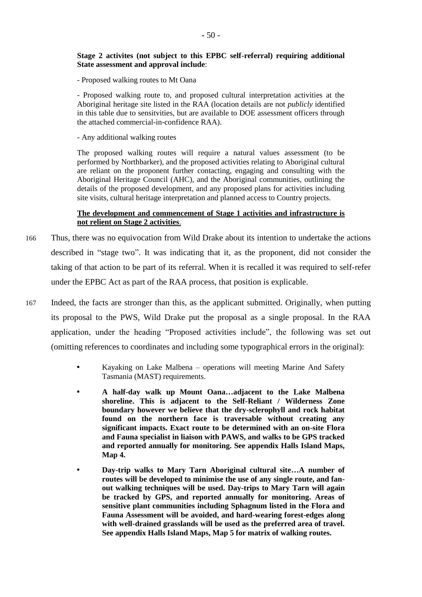#### **Stage 2 activites (not subject to this EPBC self-referral) requiring additional State assessment and approval include**:

- Proposed walking routes to Mt Oana

- Proposed walking route to, and proposed cultural interpretation activities at the Aboriginal heritage site listed in the RAA (location details are not *publicly* identified in this table due to sensitvities, but are available to DOE assessment officers through the attached commercial-in-confidence RAA).

- Any additional walking routes

The proposed walking routes will require a natural values assessment (to be performed by Northbarker), and the proposed activities relating to Aboriginal cultural are reliant on the proponent further contacting, engaging and consulting with the Aboriginal Heritage Council (AHC), and the Aboriginal communities, outlining the details of the proposed development, and any proposed plans for activities including site visits, cultural heritage interpretation and planned access to Country projects.

### **The development and commencement of Stage 1 activities and infrastructure is not relient on Stage 2 activities**.

- 166 Thus, there was no equivocation from Wild Drake about its intention to undertake the actions described in "stage two". It was indicating that it, as the proponent, did not consider the taking of that action to be part of its referral. When it is recalled it was required to self-refer under the EPBC Act as part of the RAA process, that position is explicable.
- 167 Indeed, the facts are stronger than this, as the applicant submitted. Originally, when putting its proposal to the PWS, Wild Drake put the proposal as a single proposal. In the RAA application, under the heading "Proposed activities include", the following was set out (omitting references to coordinates and including some typographical errors in the original):
	- Kayaking on Lake Malbena operations will meeting Marine And Safety Tasmania (MAST) requirements.
	- **A half-day walk up Mount Oana…adjacent to the Lake Malbena shoreline. This is adjacent to the Self-Reliant / Wilderness Zone boundary however we believe that the dry-sclerophyll and rock habitat found on the northern face is traversable without creating any significant impacts. Exact route to be determined with an on-site Flora and Fauna specialist in liaison with PAWS, and walks to be GPS tracked and reported annually for monitoring. See appendix Halls Island Maps, Map 4.**
	- **Day-trip walks to Mary Tarn Aboriginal cultural site…A number of routes will be developed to minimise the use of any single route, and fanout walking techniques will be used. Day-trips to Mary Tarn will again be tracked by GPS, and reported annually for monitoring. Areas of sensitive plant communities including Sphagnum listed in the Flora and Fauna Assessment will be avoided, and hard-wearing forest-edges along with well-drained grasslands will be used as the preferred area of travel. See appendix Halls Island Maps, Map 5 for matrix of walking routes.**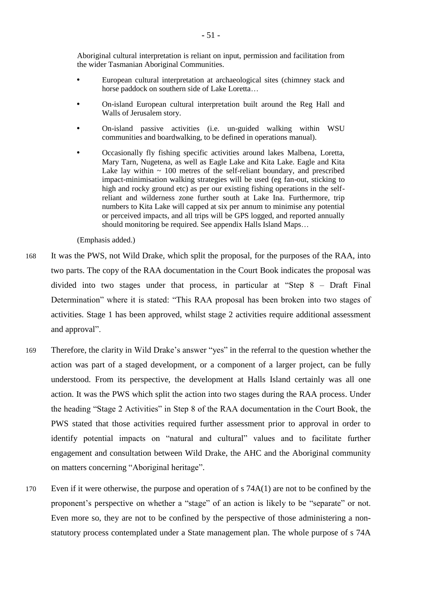Aboriginal cultural interpretation is reliant on input, permission and facilitation from the wider Tasmanian Aboriginal Communities.

- European cultural interpretation at archaeological sites (chimney stack and horse paddock on southern side of Lake Loretta…
- On-island European cultural interpretation built around the Reg Hall and Walls of Jerusalem story.
- On-island passive activities (i.e. un-guided walking within WSU communities and boardwalking, to be defined in operations manual).
- Occasionally fly fishing specific activities around lakes Malbena, Loretta, Mary Tarn, Nugetena, as well as Eagle Lake and Kita Lake. Eagle and Kita Lake lay within  $\sim 100$  metres of the self-reliant boundary, and prescribed impact-minimisation walking strategies will be used (eg fan-out, sticking to high and rocky ground etc) as per our existing fishing operations in the selfreliant and wilderness zone further south at Lake Ina. Furthermore, trip numbers to Kita Lake will capped at six per annum to minimise any potential or perceived impacts, and all trips will be GPS logged, and reported annually should monitoring be required. See appendix Halls Island Maps…

(Emphasis added.)

- 168 It was the PWS, not Wild Drake, which split the proposal, for the purposes of the RAA, into two parts. The copy of the RAA documentation in the Court Book indicates the proposal was divided into two stages under that process, in particular at "Step 8 – Draft Final Determination" where it is stated: "This RAA proposal has been broken into two stages of activities. Stage 1 has been approved, whilst stage 2 activities require additional assessment and approval".
- 169 Therefore, the clarity in Wild Drake's answer "yes" in the referral to the question whether the action was part of a staged development, or a component of a larger project, can be fully understood. From its perspective, the development at Halls Island certainly was all one action. It was the PWS which split the action into two stages during the RAA process. Under the heading "Stage 2 Activities" in Step 8 of the RAA documentation in the Court Book, the PWS stated that those activities required further assessment prior to approval in order to identify potential impacts on "natural and cultural" values and to facilitate further engagement and consultation between Wild Drake, the AHC and the Aboriginal community on matters concerning "Aboriginal heritage".
- 170 Even if it were otherwise, the purpose and operation of s 74A(1) are not to be confined by the proponent's perspective on whether a "stage" of an action is likely to be "separate" or not. Even more so, they are not to be confined by the perspective of those administering a nonstatutory process contemplated under a State management plan. The whole purpose of s 74A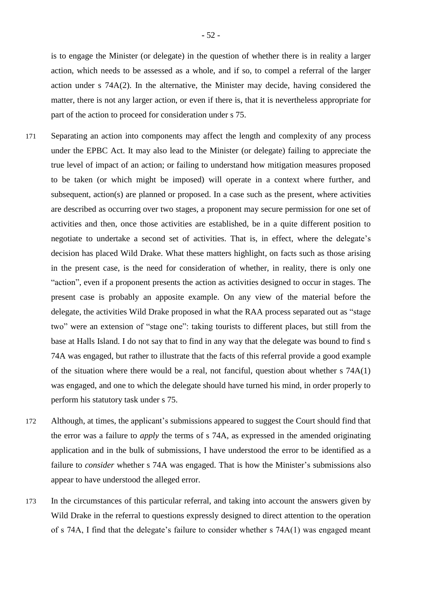is to engage the Minister (or delegate) in the question of whether there is in reality a larger action, which needs to be assessed as a whole, and if so, to compel a referral of the larger action under s 74A(2). In the alternative, the Minister may decide, having considered the matter, there is not any larger action, or even if there is, that it is nevertheless appropriate for part of the action to proceed for consideration under s 75.

- 171 Separating an action into components may affect the length and complexity of any process under the EPBC Act. It may also lead to the Minister (or delegate) failing to appreciate the true level of impact of an action; or failing to understand how mitigation measures proposed to be taken (or which might be imposed) will operate in a context where further, and subsequent, action(s) are planned or proposed. In a case such as the present, where activities are described as occurring over two stages, a proponent may secure permission for one set of activities and then, once those activities are established, be in a quite different position to negotiate to undertake a second set of activities. That is, in effect, where the delegate's decision has placed Wild Drake. What these matters highlight, on facts such as those arising in the present case, is the need for consideration of whether, in reality, there is only one "action", even if a proponent presents the action as activities designed to occur in stages. The present case is probably an apposite example. On any view of the material before the delegate, the activities Wild Drake proposed in what the RAA process separated out as "stage two" were an extension of "stage one": taking tourists to different places, but still from the base at Halls Island. I do not say that to find in any way that the delegate was bound to find s 74A was engaged, but rather to illustrate that the facts of this referral provide a good example of the situation where there would be a real, not fanciful, question about whether s 74A(1) was engaged, and one to which the delegate should have turned his mind, in order properly to perform his statutory task under s 75.
- 172 Although, at times, the applicant's submissions appeared to suggest the Court should find that the error was a failure to *apply* the terms of s 74A, as expressed in the amended originating application and in the bulk of submissions, I have understood the error to be identified as a failure to *consider* whether s 74A was engaged. That is how the Minister's submissions also appear to have understood the alleged error.
- 173 In the circumstances of this particular referral, and taking into account the answers given by Wild Drake in the referral to questions expressly designed to direct attention to the operation of s 74A, I find that the delegate's failure to consider whether s 74A(1) was engaged meant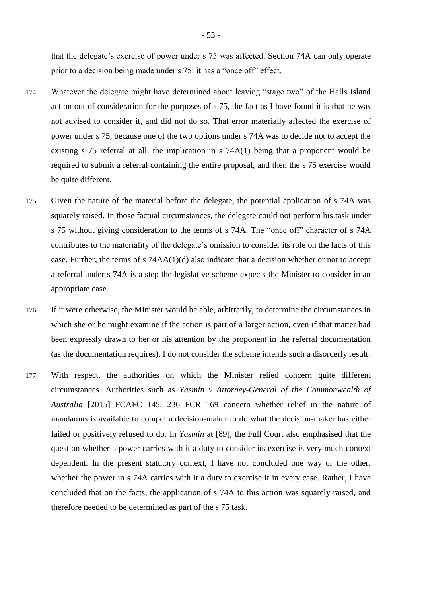that the delegate's exercise of power under s 75 was affected. Section 74A can only operate prior to a decision being made under s 75: it has a "once off" effect.

- 174 Whatever the delegate might have determined about leaving "stage two" of the Halls Island action out of consideration for the purposes of s 75, the fact as I have found it is that he was not advised to consider it, and did not do so. That error materially affected the exercise of power under s 75, because one of the two options under s 74A was to decide not to accept the existing s 75 referral at all: the implication in s 74A(1) being that a proponent would be required to submit a referral containing the entire proposal, and then the s 75 exercise would be quite different.
- 175 Given the nature of the material before the delegate, the potential application of s 74A was squarely raised. In those factual circumstances, the delegate could not perform his task under s 75 without giving consideration to the terms of s 74A. The "once off" character of s 74A contributes to the materiality of the delegate's omission to consider its role on the facts of this case. Further, the terms of s 74AA(1)(d) also indicate that a decision whether or not to accept a referral under s 74A is a step the legislative scheme expects the Minister to consider in an appropriate case.
- 176 If it were otherwise, the Minister would be able, arbitrarily, to determine the circumstances in which she or he might examine if the action is part of a larger action, even if that matter had been expressly drawn to her or his attention by the proponent in the referral documentation (as the documentation requires). I do not consider the scheme intends such a disorderly result.
- 177 With respect, the authorities on which the Minister relied concern quite different circumstances. Authorities such as *Yasmin v Attorney-General of the Commonwealth of Australia* [2015] FCAFC 145; 236 FCR 169 concern whether relief in the nature of mandamus is available to compel a decision-maker to do what the decision-maker has either failed or positively refused to do. In *Yasmin* at [89], the Full Court also emphasised that the question whether a power carries with it a duty to consider its exercise is very much context dependent. In the present statutory context, I have not concluded one way or the other, whether the power in s 74A carries with it a duty to exercise it in every case. Rather, I have concluded that on the facts, the application of s 74A to this action was squarely raised, and therefore needed to be determined as part of the s 75 task.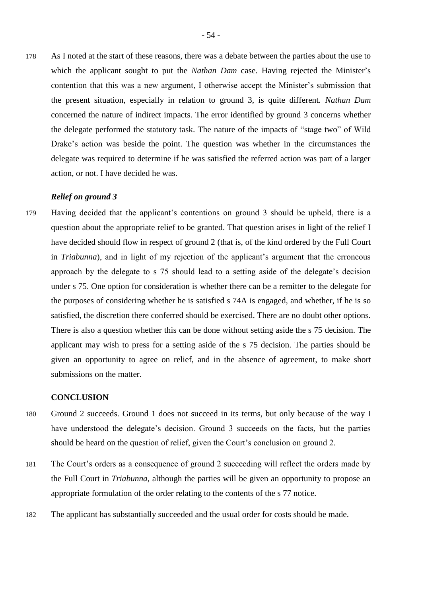178 As I noted at the start of these reasons, there was a debate between the parties about the use to which the applicant sought to put the *Nathan Dam* case. Having rejected the Minister's contention that this was a new argument, I otherwise accept the Minister's submission that the present situation, especially in relation to ground 3, is quite different. *Nathan Dam* concerned the nature of indirect impacts. The error identified by ground 3 concerns whether the delegate performed the statutory task. The nature of the impacts of "stage two" of Wild Drake's action was beside the point. The question was whether in the circumstances the delegate was required to determine if he was satisfied the referred action was part of a larger action, or not. I have decided he was.

#### *Relief on ground 3*

179 Having decided that the applicant's contentions on ground 3 should be upheld, there is a question about the appropriate relief to be granted. That question arises in light of the relief I have decided should flow in respect of ground 2 (that is, of the kind ordered by the Full Court in *Triabunna*), and in light of my rejection of the applicant's argument that the erroneous approach by the delegate to s 75 should lead to a setting aside of the delegate's decision under s 75. One option for consideration is whether there can be a remitter to the delegate for the purposes of considering whether he is satisfied s 74A is engaged, and whether, if he is so satisfied, the discretion there conferred should be exercised. There are no doubt other options. There is also a question whether this can be done without setting aside the s 75 decision. The applicant may wish to press for a setting aside of the s 75 decision. The parties should be given an opportunity to agree on relief, and in the absence of agreement, to make short submissions on the matter.

#### **CONCLUSION**

- 180 Ground 2 succeeds. Ground 1 does not succeed in its terms, but only because of the way I have understood the delegate's decision. Ground 3 succeeds on the facts, but the parties should be heard on the question of relief, given the Court's conclusion on ground 2.
- 181 The Court's orders as a consequence of ground 2 succeeding will reflect the orders made by the Full Court in *Triabunna*, although the parties will be given an opportunity to propose an appropriate formulation of the order relating to the contents of the s 77 notice.
- 182 The applicant has substantially succeeded and the usual order for costs should be made.